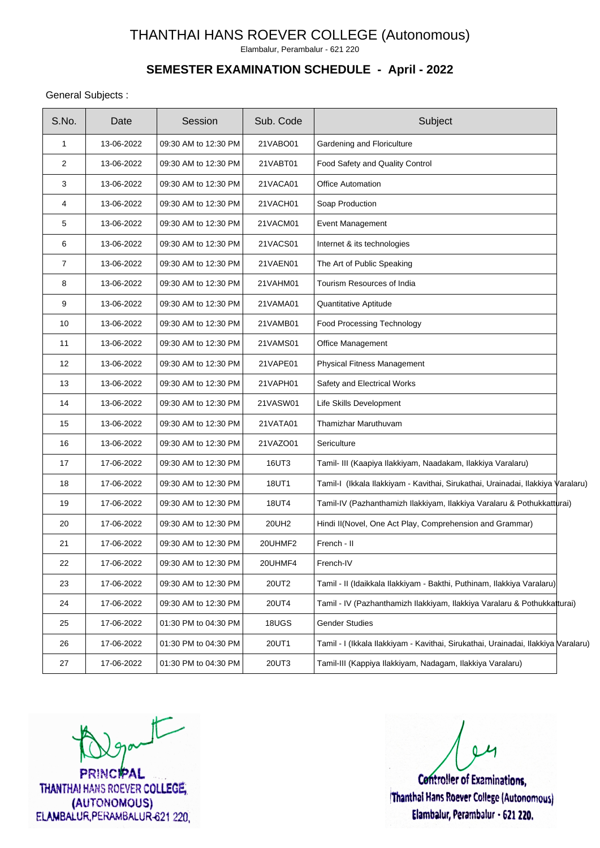Elambalur, Perambalur - 621 220

## **SEMESTER EXAMINATION SCHEDULE - April - 2022**

#### General Subjects :

| S.No.          | Date       | Session              | Sub. Code    | Subject                                                                           |  |
|----------------|------------|----------------------|--------------|-----------------------------------------------------------------------------------|--|
| $\mathbf{1}$   | 13-06-2022 | 09:30 AM to 12:30 PM | 21VABO01     | Gardening and Floriculture                                                        |  |
| 2              | 13-06-2022 | 09:30 AM to 12:30 PM | 21VABT01     | Food Safety and Quality Control                                                   |  |
| 3              | 13-06-2022 | 09:30 AM to 12:30 PM | 21VACA01     | <b>Office Automation</b>                                                          |  |
| 4              | 13-06-2022 | 09:30 AM to 12:30 PM | 21VACH01     | Soap Production                                                                   |  |
| 5              | 13-06-2022 | 09:30 AM to 12:30 PM | 21VACM01     | Event Management                                                                  |  |
| 6              | 13-06-2022 | 09:30 AM to 12:30 PM | 21VACS01     | Internet & its technologies                                                       |  |
| $\overline{7}$ | 13-06-2022 | 09:30 AM to 12:30 PM | 21VAEN01     | The Art of Public Speaking                                                        |  |
| 8              | 13-06-2022 | 09:30 AM to 12:30 PM | 21VAHM01     | Tourism Resources of India                                                        |  |
| 9              | 13-06-2022 | 09:30 AM to 12:30 PM | 21VAMA01     | Quantitative Aptitude                                                             |  |
| 10             | 13-06-2022 | 09:30 AM to 12:30 PM | 21VAMB01     | Food Processing Technology                                                        |  |
| 11             | 13-06-2022 | 09:30 AM to 12:30 PM | 21VAMS01     | Office Management                                                                 |  |
| 12             | 13-06-2022 | 09:30 AM to 12:30 PM | 21VAPE01     | Physical Fitness Management                                                       |  |
| 13             | 13-06-2022 | 09:30 AM to 12:30 PM | 21VAPH01     | Safety and Electrical Works                                                       |  |
| 14             | 13-06-2022 | 09:30 AM to 12:30 PM | 21VASW01     | Life Skills Development                                                           |  |
| 15             | 13-06-2022 | 09:30 AM to 12:30 PM | 21VATA01     | Thamizhar Maruthuvam                                                              |  |
| 16             | 13-06-2022 | 09:30 AM to 12:30 PM | 21VAZO01     | Sericulture                                                                       |  |
| 17             | 17-06-2022 | 09:30 AM to 12:30 PM | 16UT3        | Tamil- III (Kaapiya Ilakkiyam, Naadakam, Ilakkiya Varalaru)                       |  |
| 18             | 17-06-2022 | 09:30 AM to 12:30 PM | 18UT1        | Tamil-I (Ikkala Ilakkiyam - Kavithai, Sirukathai, Urainadai, Ilakkiya Varalaru)   |  |
| 19             | 17-06-2022 | 09:30 AM to 12:30 PM | <b>18UT4</b> | Tamil-IV (Pazhanthamizh Ilakkiyam, Ilakkiya Varalaru & Pothukkatturai)            |  |
| 20             | 17-06-2022 | 09:30 AM to 12:30 PM | 20UH2        | Hindi II(Novel, One Act Play, Comprehension and Grammar)                          |  |
| 21             | 17-06-2022 | 09:30 AM to 12:30 PM | 20UHMF2      | French - II                                                                       |  |
| 22             | 17-06-2022 | 09:30 AM to 12:30 PM | 20UHMF4      | French-IV                                                                         |  |
| 23             | 17-06-2022 | 09:30 AM to 12:30 PM | 20UT2        | Tamil - II (Idaikkala Ilakkiyam - Bakthi, Puthinam, Ilakkiya Varalaru)            |  |
| 24             | 17-06-2022 | 09:30 AM to 12:30 PM | 20UT4        | Tamil - IV (Pazhanthamizh Ilakkiyam, Ilakkiya Varalaru & Pothukkatturai)          |  |
| 25             | 17-06-2022 | 01:30 PM to 04:30 PM | 18UGS        | <b>Gender Studies</b>                                                             |  |
| 26             | 17-06-2022 | 01:30 PM to 04:30 PM | 20UT1        | Tamil - I (Ikkala Ilakkiyam - Kavithai, Sirukathai, Urainadai, Ilakkiya Varalaru) |  |
| 27             | 17-06-2022 | 01:30 PM to 04:30 PM | 20UT3        | Tamil-III (Kappiya Ilakkiyam, Nadagam, Ilakkiya Varalaru)                         |  |

 $t$ 

**PRINCIPAL** THANTHAI HANS ROEVER COLLEGE, (AUTONOMOUS) ELAMBALUR, PERAMBALUR-621 220,

**Controller of Examinations.** 

Thanthai Hans Roever College (Autonomous) Elambalur, Perambalur - 621 220.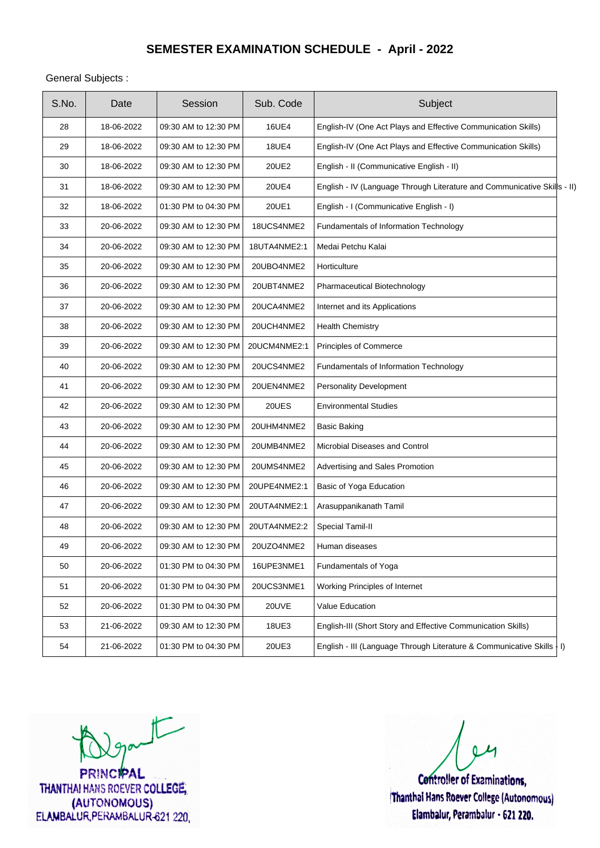General Subjects :

| S.No. | Date       | Session              | Sub. Code    | Subject                                                                  |
|-------|------------|----------------------|--------------|--------------------------------------------------------------------------|
| 28    | 18-06-2022 | 09:30 AM to 12:30 PM | <b>16UE4</b> | English-IV (One Act Plays and Effective Communication Skills)            |
| 29    | 18-06-2022 | 09:30 AM to 12:30 PM | <b>18UE4</b> | English-IV (One Act Plays and Effective Communication Skills)            |
| 30    | 18-06-2022 | 09:30 AM to 12:30 PM | 20UE2        | English - II (Communicative English - II)                                |
| 31    | 18-06-2022 | 09:30 AM to 12:30 PM | <b>20UE4</b> | English - IV (Language Through Literature and Communicative Skills - II) |
| 32    | 18-06-2022 | 01:30 PM to 04:30 PM | 20UE1        | English - I (Communicative English - I)                                  |
| 33    | 20-06-2022 | 09:30 AM to 12:30 PM | 18UCS4NME2   | Fundamentals of Information Technology                                   |
| 34    | 20-06-2022 | 09:30 AM to 12:30 PM | 18UTA4NME2:1 | Medai Petchu Kalai                                                       |
| 35    | 20-06-2022 | 09:30 AM to 12:30 PM | 20UBO4NME2   | Horticulture                                                             |
| 36    | 20-06-2022 | 09:30 AM to 12:30 PM | 20UBT4NME2   | Pharmaceutical Biotechnology                                             |
| 37    | 20-06-2022 | 09:30 AM to 12:30 PM | 20UCA4NME2   | Internet and its Applications                                            |
| 38    | 20-06-2022 | 09:30 AM to 12:30 PM | 20UCH4NME2   | <b>Health Chemistry</b>                                                  |
| 39    | 20-06-2022 | 09:30 AM to 12:30 PM | 20UCM4NME2:1 | Principles of Commerce                                                   |
| 40    | 20-06-2022 | 09:30 AM to 12:30 PM | 20UCS4NME2   | Fundamentals of Information Technology                                   |
| 41    | 20-06-2022 | 09:30 AM to 12:30 PM | 20UEN4NME2   | Personality Development                                                  |
| 42    | 20-06-2022 | 09:30 AM to 12:30 PM | 20UES        | <b>Environmental Studies</b>                                             |
| 43    | 20-06-2022 | 09:30 AM to 12:30 PM | 20UHM4NME2   | <b>Basic Baking</b>                                                      |
| 44    | 20-06-2022 | 09:30 AM to 12:30 PM | 20UMB4NME2   | Microbial Diseases and Control                                           |
| 45    | 20-06-2022 | 09:30 AM to 12:30 PM | 20UMS4NME2   | Advertising and Sales Promotion                                          |
| 46    | 20-06-2022 | 09:30 AM to 12:30 PM | 20UPE4NME2:1 | Basic of Yoga Education                                                  |
| 47    | 20-06-2022 | 09:30 AM to 12:30 PM | 20UTA4NME2:1 | Arasuppanikanath Tamil                                                   |
| 48    | 20-06-2022 | 09:30 AM to 12:30 PM | 20UTA4NME2:2 | Special Tamil-II                                                         |
| 49    | 20-06-2022 | 09:30 AM to 12:30 PM | 20UZO4NME2   | Human diseases                                                           |
| 50    | 20-06-2022 | 01:30 PM to 04:30 PM | 16UPE3NME1   | Fundamentals of Yoga                                                     |
| 51    | 20-06-2022 | 01:30 PM to 04:30 PM | 20UCS3NME1   | Working Principles of Internet                                           |
| 52    | 20-06-2022 | 01:30 PM to 04:30 PM | 20UVE        | Value Education                                                          |
| 53    | 21-06-2022 | 09:30 AM to 12:30 PM | <b>18UE3</b> | English-III (Short Story and Effective Communication Skills)             |
| 54    | 21-06-2022 | 01:30 PM to 04:30 PM | 20UE3        | English - III (Language Through Literature & Communicative Skills   I)   |

 $t$ 

**PRINCIPAL** THANTHAI HANS ROEVER COLLEGE, (AUTONOMOUS) ELAMBALUR, PERAMBALUR-621 220

**Controller of Examinations,** Thanthai Hans Roever College (Autonomous) Elambalur, Perambalur - 621 220.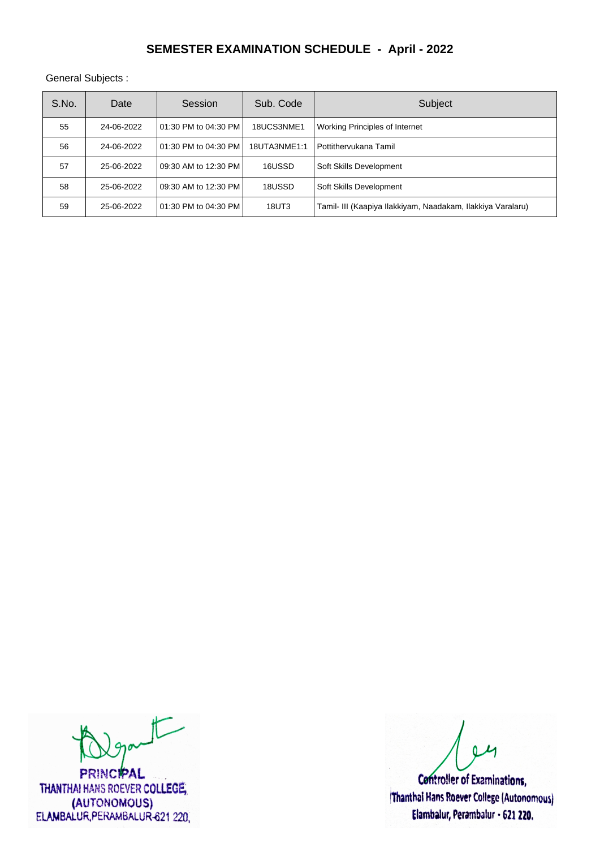General Subjects :

| S.No. | Date       | Session               | Sub. Code    | Subject                                                     |
|-------|------------|-----------------------|--------------|-------------------------------------------------------------|
| 55    | 24-06-2022 | 101:30 PM to 04:30 PM | 18UCS3NME1   | Working Principles of Internet                              |
| 56    | 24-06-2022 | 101:30 PM to 04:30 PM | 18UTA3NME1:1 | Pottithervukana Tamil                                       |
| 57    | 25-06-2022 | 09:30 AM to 12:30 PM  | 16USSD       | Soft Skills Development                                     |
| 58    | 25-06-2022 | 09:30 AM to 12:30 PM  | 18USSD       | Soft Skills Development                                     |
| 59    | 25-06-2022 | 101:30 PM to 04:30 PM | 18UT3        | Tamil- III (Kaapiya Ilakkiyam, Naadakam, Ilakkiya Varalaru) |

 $t$ 

**PRINCIPAL** THANTHAI HANS ROEVER COLLEGE, (AUTONOMOUS) ELAMBALUR, PERAMBALUR-621 220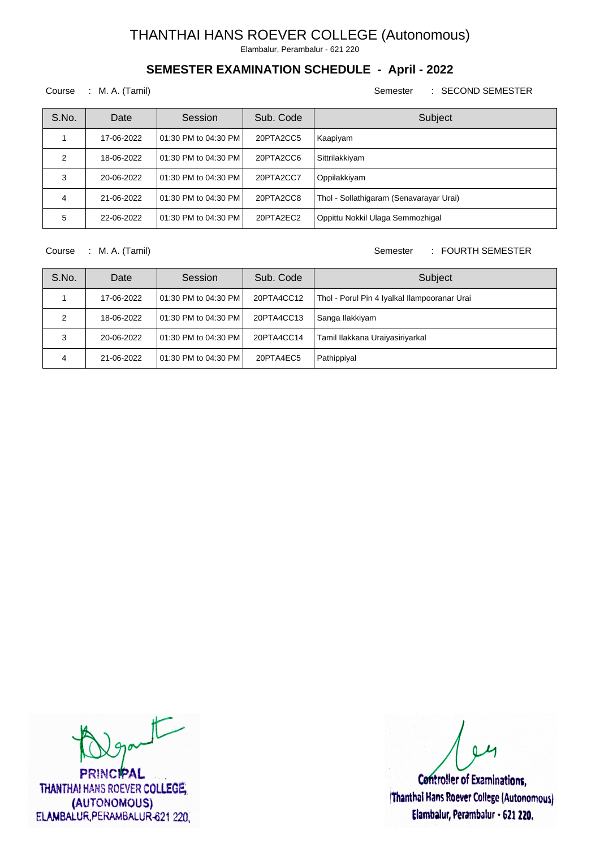Elambalur, Perambalur - 621 220

## **SEMESTER EXAMINATION SCHEDULE - April - 2022**

#### Course : M. A. (Tamil) Semester : SECOND SEMESTER

| S.No. | Date       | Session                  | Sub. Code | Subject                                 |
|-------|------------|--------------------------|-----------|-----------------------------------------|
|       | 17-06-2022 | 01:30 PM to 04:30 PM     | 20PTA2CC5 | Kaapiyam                                |
| 2     | 18-06-2022 | 01:30 PM to 04:30 PM     | 20PTA2CC6 | Sittrilakkiyam                          |
| 3     | 20-06-2022 | l 01:30 PM to 04:30 PM l | 20PTA2CC7 | Oppilakkiyam                            |
| 4     | 21-06-2022 | l 01:30 PM to 04:30 PM l | 20PTA2CC8 | Thol - Sollathigaram (Senavarayar Urai) |
| 5     | 22-06-2022 | l 01:30 PM to 04:30 PM l | 20PTA2EC2 | Oppittu Nokkil Ulaga Semmozhigal        |

Course : M. A. (Tamil) Course : M. A. (Tamil)

| S.No. | Date       | Session                  | Sub. Code  | Subject                                      |
|-------|------------|--------------------------|------------|----------------------------------------------|
|       | 17-06-2022 | 01:30 PM to 04:30 PM     | 20PTA4CC12 | Thol - Porul Pin 4 Iyalkal Ilampooranar Urai |
|       | 18-06-2022 | 01:30 PM to 04:30 PM     | 20PTA4CC13 | Sanga Ilakkiyam                              |
| 3     | 20-06-2022 | 01:30 PM to 04:30 PM     | 20PTA4CC14 | Tamil Ilakkana Uraiyasiriyarkal              |
| Δ     | 21-06-2022 | l 01:30 PM to 04:30 PM l | 20PTA4EC5  | Pathippiyal                                  |

 $\sqrt{2}$ 

**PRINCIPAL** THANTHAI HANS ROEVER COLLEGE, (AUTONOMOUS) ELAMBALUR, PERAMBALUR-621 220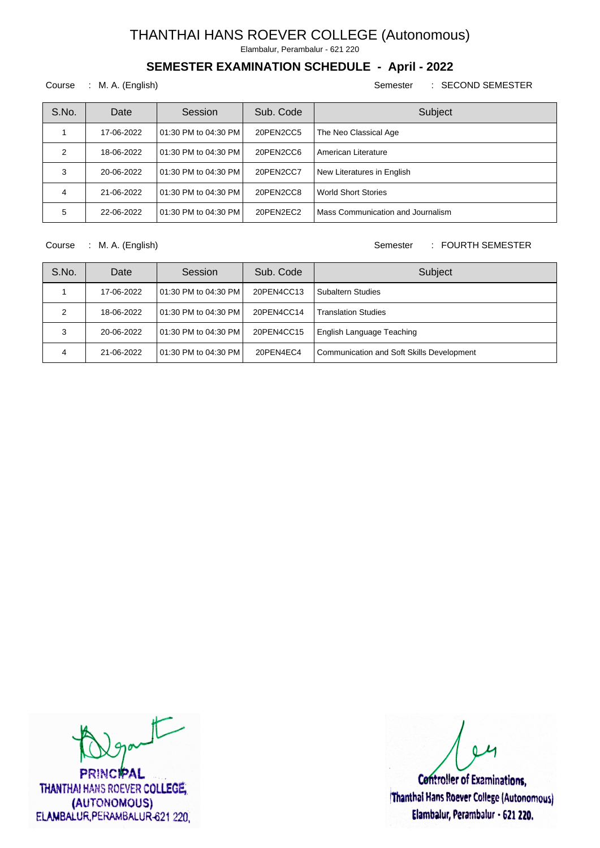Elambalur, Perambalur - 621 220

## **SEMESTER EXAMINATION SCHEDULE - April - 2022**

#### Course : M. A. (English) Semester : SECOND SEMESTER

| S.No. | Date       | Session                  | Sub. Code | Subject                           |
|-------|------------|--------------------------|-----------|-----------------------------------|
|       | 17-06-2022 | 01:30 PM to 04:30 PM     | 20PEN2CC5 | The Neo Classical Age             |
| 2     | 18-06-2022 | 01:30 PM to 04:30 PM     | 20PEN2CC6 | American Literature               |
| 3     | 20-06-2022 | l 01:30 PM to 04:30 PM l | 20PEN2CC7 | New Literatures in English        |
| 4     | 21-06-2022 | l 01:30 PM to 04:30 PM l | 20PEN2CC8 | <b>World Short Stories</b>        |
| 5     | 22-06-2022 | 01:30 PM to 04:30 PM     | 20PEN2EC2 | Mass Communication and Journalism |

Course : M. A. (English) Semester : FOURTH SEMESTER

| S.No. | Date       | Session                | Sub. Code  | Subject                                   |
|-------|------------|------------------------|------------|-------------------------------------------|
|       | 17-06-2022 | l 01:30 PM to 04:30 PM | 20PEN4CC13 | <b>Subaltern Studies</b>                  |
|       | 18-06-2022 | l 01:30 PM to 04:30 PM | 20PEN4CC14 | <b>Translation Studies</b>                |
| 3     | 20-06-2022 | l 01:30 PM to 04:30 PM | 20PEN4CC15 | English Language Teaching                 |
| 4     | 21-06-2022 | l 01:30 PM to 04:30 PM | 20PEN4EC4  | Communication and Soft Skills Development |

 $t$ 

**PRINCIPAL** THANTHAI HANS ROEVER COLLEGE, (AUTONOMOUS) ELAMBALUR, PERAMBALUR-621 220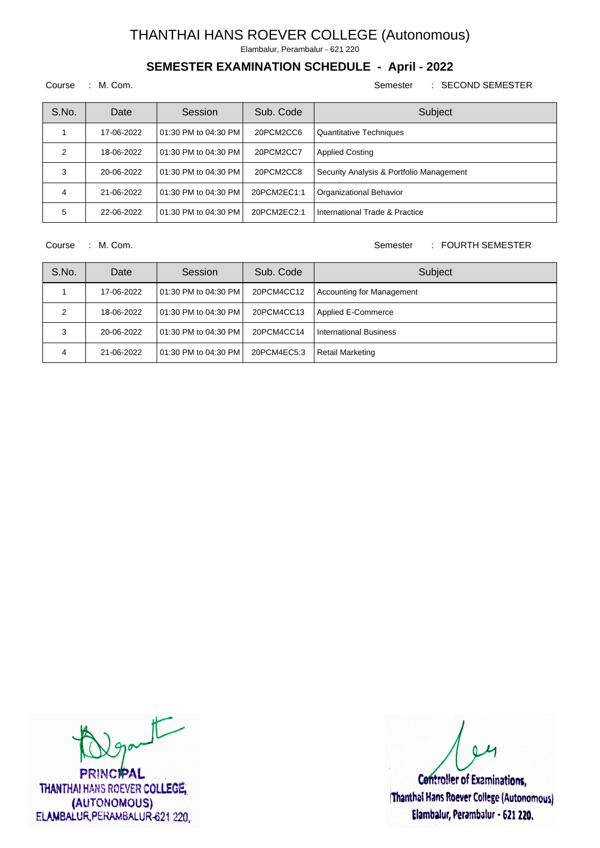Elambalur, Perambalur - 621 220

## **SEMESTER EXAMINATION SCHEDULE - April - 2022**

#### Course : M. Com. Semester : SECOND SEMESTER

| S.No. | Date       | Session                  | Sub. Code   | Subject                                  |
|-------|------------|--------------------------|-------------|------------------------------------------|
|       | 17-06-2022 | l 01:30 PM to 04:30 PM l | 20PCM2CC6   | <b>Quantitative Techniques</b>           |
| 2     | 18-06-2022 | l 01:30 PM to 04:30 PM l | 20PCM2CC7   | <b>Applied Costing</b>                   |
| 3     | 20-06-2022 | l 01:30 PM to 04:30 PM l | 20PCM2CC8   | Security Analysis & Portfolio Management |
| 4     | 21-06-2022 | 101:30 PM to 04:30 PM    | 20PCM2EC1:1 | Organizational Behavior                  |
| 5     | 22-06-2022 | 101:30 PM to 04:30 PM    | 20PCM2EC2:1 | International Trade & Practice           |

Course : M. Com. Semester : FOURTH SEMESTER

| S.No. | Date       | Session                | Sub. Code   | Subject                          |
|-------|------------|------------------------|-------------|----------------------------------|
|       | 17-06-2022 | l 01:30 PM to 04:30 PM | 20PCM4CC12  | <b>Accounting for Management</b> |
| っ     | 18-06-2022 | l 01:30 PM to 04:30 PM | 20PCM4CC13  | Applied E-Commerce               |
| 3     | 20-06-2022 | l 01:30 PM to 04:30 PM | 20PCM4CC14  | <b>International Business</b>    |
| 4     | 21-06-2022 | l 01:30 PM to 04:30 PM | 20PCM4EC5:3 | <b>Retail Marketing</b>          |

 $t$ 

**PRINCIPAL** THANTHAI HANS ROEVER COLLEGE, (AUTONOMOUS) ELAMBALUR, PERAMBALUR-621 220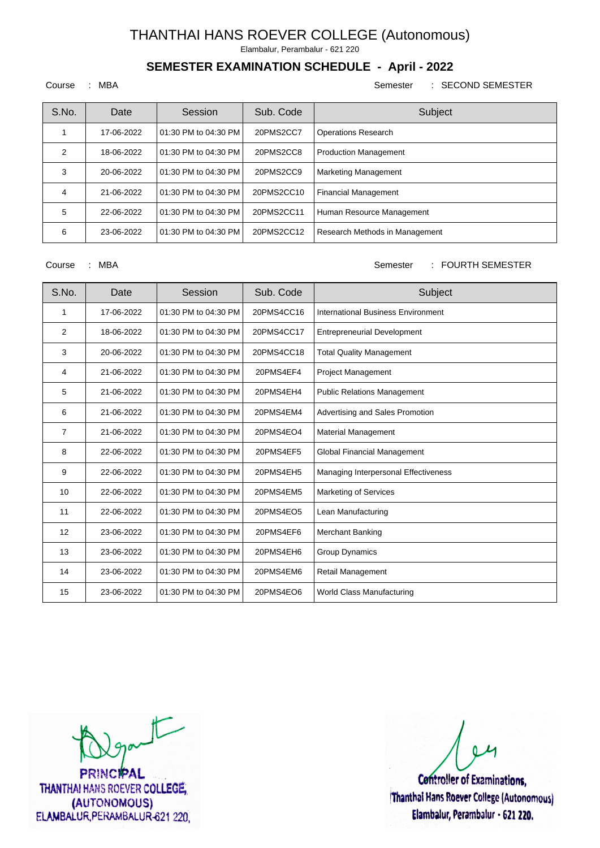Elambalur, Perambalur - 621 220

## **SEMESTER EXAMINATION SCHEDULE - April - 2022**

#### Course : MBA Semester : SECOND SEMESTER

| S.No. | Date       | Session              | Sub. Code  | Subject                        |
|-------|------------|----------------------|------------|--------------------------------|
|       | 17-06-2022 | 01:30 PM to 04:30 PM | 20PMS2CC7  | <b>Operations Research</b>     |
| 2     | 18-06-2022 | 01:30 PM to 04:30 PM | 20PMS2CC8  | <b>Production Management</b>   |
| 3     | 20-06-2022 | 01:30 PM to 04:30 PM | 20PMS2CC9  | <b>Marketing Management</b>    |
| 4     | 21-06-2022 | 01:30 PM to 04:30 PM | 20PMS2CC10 | <b>Financial Management</b>    |
| 5     | 22-06-2022 | 01:30 PM to 04:30 PM | 20PMS2CC11 | Human Resource Management      |
| 6     | 23-06-2022 | 01:30 PM to 04:30 PM | 20PMS2CC12 | Research Methods in Management |

Course : MBA Semester : FOURTH SEMESTER

| S.No.          | Date       | Session              | Sub. Code  | Subject                              |
|----------------|------------|----------------------|------------|--------------------------------------|
| 1              | 17-06-2022 | 01:30 PM to 04:30 PM | 20PMS4CC16 | International Business Environment   |
| 2              | 18-06-2022 | 01:30 PM to 04:30 PM | 20PMS4CC17 | <b>Entrepreneurial Development</b>   |
| 3              | 20-06-2022 | 01:30 PM to 04:30 PM | 20PMS4CC18 | <b>Total Quality Management</b>      |
| 4              | 21-06-2022 | 01:30 PM to 04:30 PM | 20PMS4EF4  | <b>Project Management</b>            |
| 5              | 21-06-2022 | 01:30 PM to 04:30 PM | 20PMS4EH4  | <b>Public Relations Management</b>   |
| 6              | 21-06-2022 | 01:30 PM to 04:30 PM | 20PMS4EM4  | Advertising and Sales Promotion      |
| $\overline{7}$ | 21-06-2022 | 01:30 PM to 04:30 PM | 20PMS4EO4  | <b>Material Management</b>           |
| 8              | 22-06-2022 | 01:30 PM to 04:30 PM | 20PMS4EF5  | Global Financial Management          |
| 9              | 22-06-2022 | 01:30 PM to 04:30 PM | 20PMS4EH5  | Managing Interpersonal Effectiveness |
| 10             | 22-06-2022 | 01:30 PM to 04:30 PM | 20PMS4EM5  | <b>Marketing of Services</b>         |
| 11             | 22-06-2022 | 01:30 PM to 04:30 PM | 20PMS4EO5  | Lean Manufacturing                   |
| 12             | 23-06-2022 | 01:30 PM to 04:30 PM | 20PMS4EF6  | Merchant Banking                     |
| 13             | 23-06-2022 | 01:30 PM to 04:30 PM | 20PMS4EH6  | <b>Group Dynamics</b>                |
| 14             | 23-06-2022 | 01:30 PM to 04:30 PM | 20PMS4EM6  | Retail Management                    |
| 15             | 23-06-2022 | 01:30 PM to 04:30 PM | 20PMS4EO6  | World Class Manufacturing            |

 $t$ 

**PRINCIPAL** THANTHAI HANS ROEVER COLLEGE, (AUTONOMOUS) ELAMBALUR, PERAMBALUR-621 220

**Controller of Examinations,** 

Thanthai Hans Roever College (Autonomous) Elambalur, Perambalur - 621 220.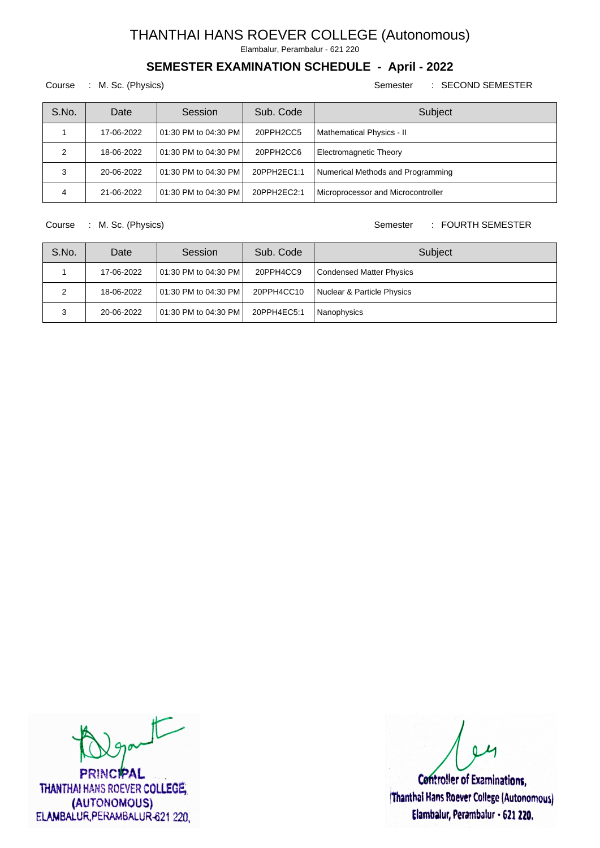Elambalur, Perambalur - 621 220

## **SEMESTER EXAMINATION SCHEDULE - April - 2022**

Course : M. Sc. (Physics) Semester : SECOND SEMESTER

| S.No. | Date       | Session                 | Sub. Code   | Subject                            |
|-------|------------|-------------------------|-------------|------------------------------------|
|       | 17-06-2022 | 101:30 PM to 04:30 PM   | 20PPH2CC5   | Mathematical Physics - II          |
| າ     | 18-06-2022 | 101:30 PM to 04:30 PM   | 20PPH2CC6   | <b>Electromagnetic Theory</b>      |
| 3     | 20-06-2022 | 101:30 PM to 04:30 PM I | 20PPH2EC1:1 | Numerical Methods and Programming  |
|       | 21-06-2022 | 101:30 PM to 04:30 PM   | 20PPH2EC2:1 | Microprocessor and Microcontroller |

Course : M. Sc. (Physics) Semester : FOURTH SEMESTER

| S.No. | Date       | Session                 | Sub. Code   | Subject                         |
|-------|------------|-------------------------|-------------|---------------------------------|
|       | 17-06-2022 | 101:30 PM to 04:30 PM I | 20PPH4CC9   | <b>Condensed Matter Physics</b> |
| っ     | 18-06-2022 | 101:30 PM to 04:30 PM   | 20PPH4CC10  | Nuclear & Particle Physics      |
|       | 20-06-2022 | 101:30 PM to 04:30 PM   | 20PPH4EC5:1 | Nanophysics                     |

 $\sqrt{2}$ 

**PRINCIPAL** THANTHAI HANS ROEVER COLLEGE, (AUTONOMOUS) ELAMBALUR, PERAMBALUR-621 220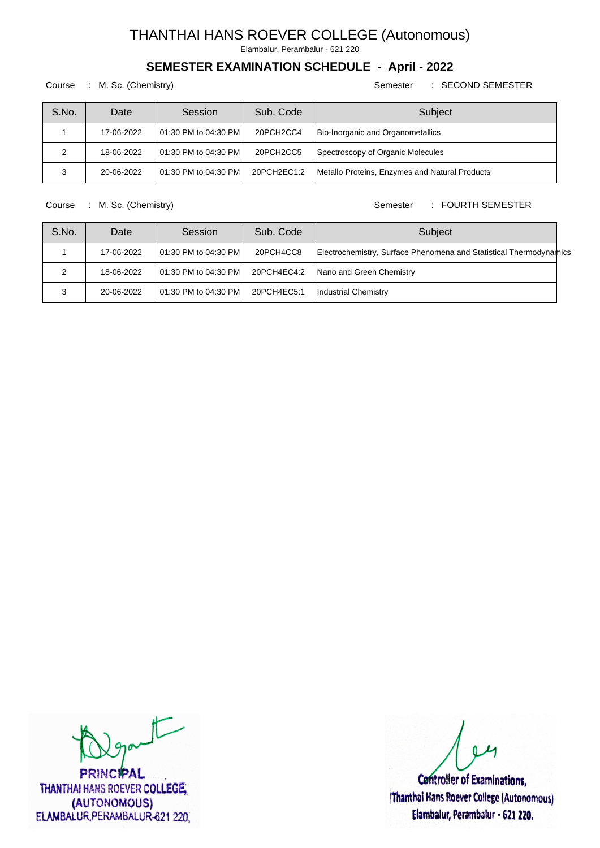Elambalur, Perambalur - 621 220

## **SEMESTER EXAMINATION SCHEDULE - April - 2022**

Course : M. Sc. (Chemistry) Semester : SECOND SEMESTER

| S.No. | Date       | Session                 | Sub. Code   | Subject                                        |
|-------|------------|-------------------------|-------------|------------------------------------------------|
|       | 17-06-2022 | 101:30 PM to 04:30 PM l | 20PCH2CC4   | <b>Bio-Inorganic and Organometallics</b>       |
| ົ     | 18-06-2022 | 101:30 PM to 04:30 PM l | 20PCH2CC5   | Spectroscopy of Organic Molecules              |
|       | 20-06-2022 | 01:30 PM to 04:30 PM    | 20PCH2EC1:2 | Metallo Proteins, Enzymes and Natural Products |

Course : M. Sc. (Chemistry) Course : M. Sc. (Chemistry)

| S.No. | Date       | Session                  | Sub. Code   | Subject                                                            |
|-------|------------|--------------------------|-------------|--------------------------------------------------------------------|
|       | 17-06-2022 | l 01:30 PM to 04:30 PM l | 20PCH4CC8   | Electrochemistry, Surface Phenomena and Statistical Thermodynamics |
|       | 18-06-2022 | 101:30 PM to 04:30 PM L  | 20PCH4EC4:2 | Nano and Green Chemistry                                           |
|       | 20-06-2022 | 01:30 PM to 04:30 PM L   | 20PCH4EC5:1 | Industrial Chemistry                                               |

 $\sqrt{2}$ 

**PRINCIPAL** THANTHAI HANS ROEVER COLLEGE, (AUTONOMOUS) ELAMBALUR, PERAMBALUR-621 220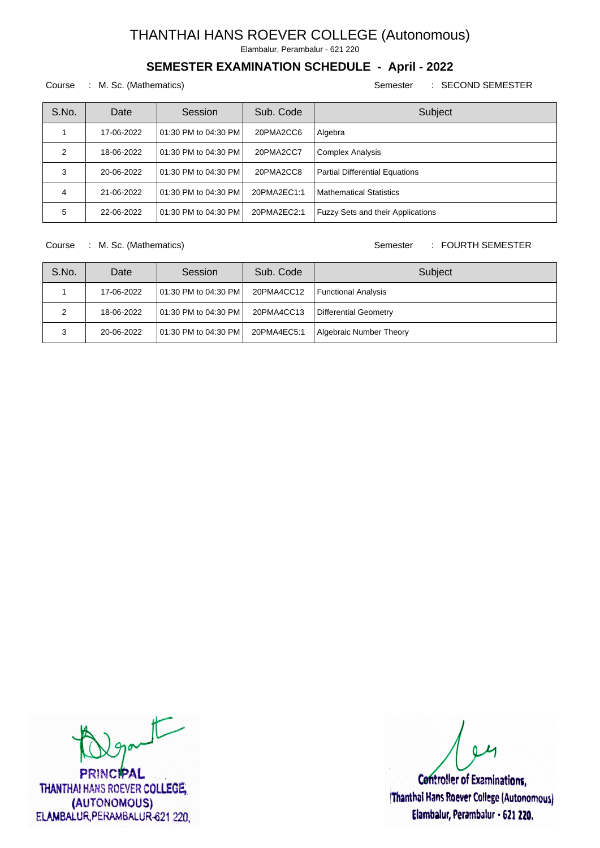Elambalur, Perambalur - 621 220

## **SEMESTER EXAMINATION SCHEDULE - April - 2022**

Course : M. Sc. (Mathematics) Semester : SECOND SEMESTER

| S.No. | Date       | Session                  | Sub. Code   | Subject                                  |
|-------|------------|--------------------------|-------------|------------------------------------------|
|       | 17-06-2022 | l 01:30 PM to 04:30 PM l | 20PMA2CC6   | Algebra                                  |
| 2     | 18-06-2022 | l 01:30 PM to 04:30 PM l | 20PMA2CC7   | <b>Complex Analysis</b>                  |
| 3     | 20-06-2022 | l 01:30 PM to 04:30 PM l | 20PMA2CC8   | <b>Partial Differential Equations</b>    |
| 4     | 21-06-2022 | 01:30 PM to 04:30 PM     | 20PMA2EC1:1 | <b>Mathematical Statistics</b>           |
| 5     | 22-06-2022 | 01:30 PM to 04:30 PM     | 20PMA2EC2:1 | <b>Fuzzy Sets and their Applications</b> |

Course : M. Sc. (Mathematics) Semester : FOURTH SEMESTER

| S.No. | Date       | Session               | Sub. Code   | Subject                 |
|-------|------------|-----------------------|-------------|-------------------------|
|       | 17-06-2022 | 01:30 PM to 04:30 PM  | 20PMA4CC12  | Functional Analysis     |
| っ     | 18-06-2022 | 101:30 PM to 04:30 PM | 20PMA4CC13  | Differential Geometry   |
| 3     | 20-06-2022 | 101:30 PM to 04:30 PM | 20PMA4EC5:1 | Algebraic Number Theory |

 $t$ 

**PRINCIPAL** THANTHAI HANS ROEVER COLLEGE, (AUTONOMOUS) ELAMBALUR, PERAMBALUR-621 220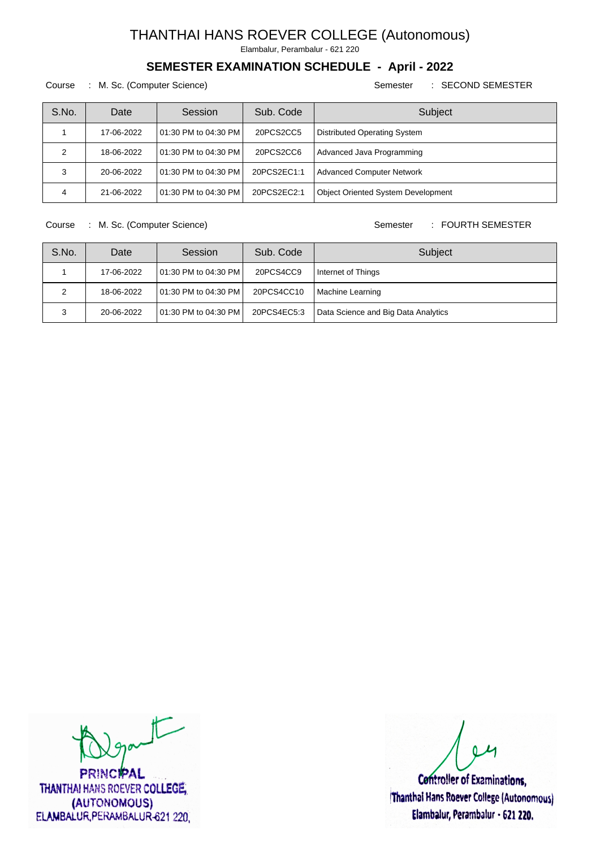Elambalur, Perambalur - 621 220

## **SEMESTER EXAMINATION SCHEDULE - April - 2022**

Course : M. Sc. (Computer Science) Semester : SECOND SEMESTER

| S.No. | Date       | Session                  | Sub. Code   | Subject                                   |
|-------|------------|--------------------------|-------------|-------------------------------------------|
|       | 17-06-2022 | 01:30 PM to 04:30 PM I   | 20PCS2CC5   | Distributed Operating System              |
| 2     | 18-06-2022 | l 01:30 PM to 04:30 PM l | 20PCS2CC6   | Advanced Java Programming                 |
| 3     | 20-06-2022 | 01:30 PM to 04:30 PM     | 20PCS2EC1:1 | <b>Advanced Computer Network</b>          |
| 4     | 21-06-2022 | 01:30 PM to 04:30 PM     | 20PCS2EC2:1 | <b>Object Oriented System Development</b> |

Course : M. Sc. (Computer Science) Semester : FOURTH SEMESTER

| S.No. | Date       | Session                 | Sub. Code   | Subject                             |
|-------|------------|-------------------------|-------------|-------------------------------------|
|       | 17-06-2022 | 101:30 PM to 04:30 PM I | 20PCS4CC9   | Internet of Things                  |
| っ     | 18-06-2022 | 101:30 PM to 04:30 PM   | 20PCS4CC10  | Machine Learning                    |
| 3     | 20-06-2022 | 01:30 PM to 04:30 PM    | 20PCS4EC5:3 | Data Science and Big Data Analytics |

 $\sqrt{2}$ 

**PRINCIPAL** THANTHAI HANS ROEVER COLLEGE, (AUTONOMOUS) ELAMBALUR, PERAMBALUR-621 220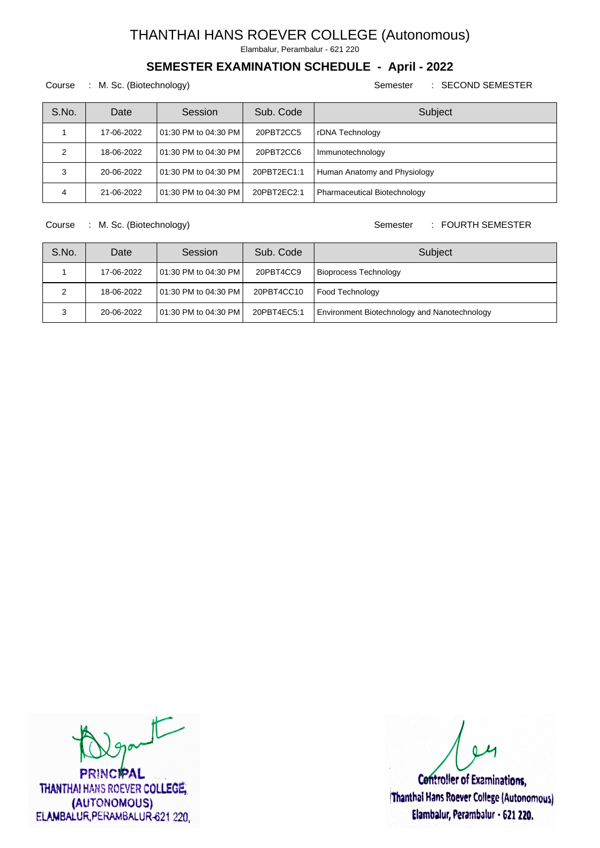Elambalur, Perambalur - 621 220

## **SEMESTER EXAMINATION SCHEDULE - April - 2022**

Course : M. Sc. (Biotechnology) Semester : SECOND SEMESTER

| S.No. | Date       | Session                  | Sub. Code   | Subject                      |
|-------|------------|--------------------------|-------------|------------------------------|
|       | 17-06-2022 | l 01:30 PM to 04:30 PM l | 20PBT2CC5   | rDNA Technology              |
| າ     | 18-06-2022 | l 01:30 PM to 04:30 PM l | 20PBT2CC6   | Immunotechnology             |
| 3     | 20-06-2022 | l 01:30 PM to 04:30 PM l | 20PBT2EC1:1 | Human Anatomy and Physiology |
| 4     | 21-06-2022 | l 01:30 PM to 04:30 PM   | 20PBT2EC2:1 | Pharmaceutical Biotechnology |

Course : M. Sc. (Biotechnology) Semester : FOURTH SEMESTER

| S.No.   | Date       | Session                 | Sub. Code   | Subject                                      |
|---------|------------|-------------------------|-------------|----------------------------------------------|
|         | 17-06-2022 | 101:30 PM to 04:30 PM I | 20PBT4CC9   | <b>Bioprocess Technology</b>                 |
| 2       | 18-06-2022 | 101:30 PM to 04:30 PM I | 20PBT4CC10  | Food Technology                              |
| ົ<br>۰J | 20-06-2022 | 01:30 PM to 04:30 PM    | 20PBT4EC5:1 | Environment Biotechnology and Nanotechnology |

 $\sqrt{2}$ 

**PRINCIPAL** THANTHAI HANS ROEVER COLLEGE, (AUTONOMOUS) ELAMBALUR, PERAMBALUR-621 220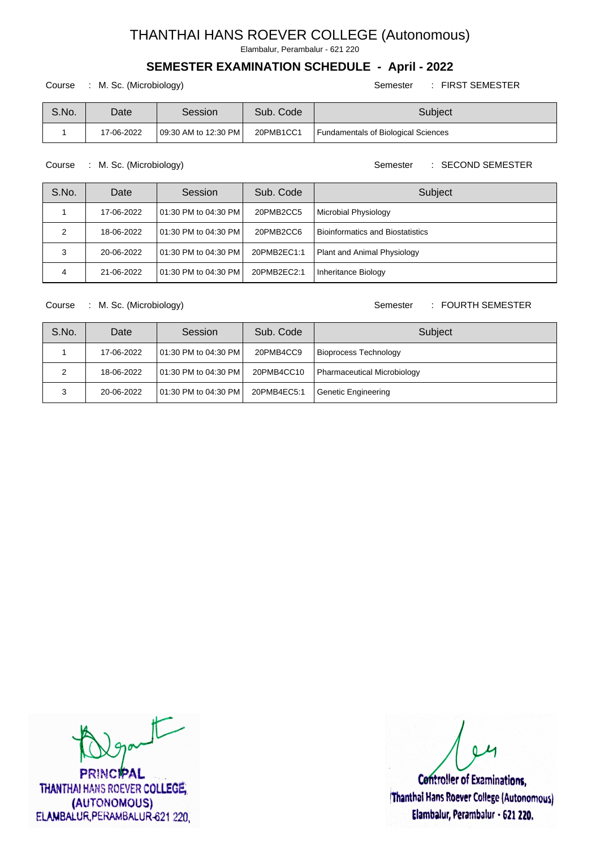Elambalur, Perambalur - 621 220

#### **SEMESTER EXAMINATION SCHEDULE - April - 2022**

Course : M. Sc. (Microbiology) Semester : FIRST SEMESTER

| S.No. | Date       | Session               | Sub. Code | Subiect                             |
|-------|------------|-----------------------|-----------|-------------------------------------|
|       | 17-06-2022 | 109:30 AM to 12:30 PM | 20PMB1CC1 | Fundamentals of Biological Sciences |

Course : M. Sc. (Microbiology) Semester : SECOND SEMESTER

| S.No. | Date       | Session                  | Sub. Code   | Subject                            |
|-------|------------|--------------------------|-------------|------------------------------------|
|       | 17-06-2022 | l 01:30 PM to 04:30 PM l | 20PMB2CC5   | Microbial Physiology               |
|       | 18-06-2022 | l 01:30 PM to 04:30 PM l | 20PMB2CC6   | l Bioinformatics and Biostatistics |
|       | 20-06-2022 | l 01:30 PM to 04:30 PM   | 20PMB2EC1:1 | Plant and Animal Physiology        |
| 4     | 21-06-2022 | 101:30 PM to 04:30 PM    | 20PMB2EC2:1 | Inheritance Biology                |

#### Course : M. Sc. (Microbiology) Semester : FOURTH SEMESTER

| S.No. | Date       | Session                  | Sub. Code   | Subject                      |
|-------|------------|--------------------------|-------------|------------------------------|
|       | 17-06-2022 | l 01:30 PM to 04:30 PM l | 20PMB4CC9   | <b>Bioprocess Technology</b> |
|       | 18-06-2022 | l 01:30 PM to 04:30 PM l | 20PMB4CC10  | Pharmaceutical Microbiology  |
|       | 20-06-2022 | l 01:30 PM to 04:30 PM l | 20PMB4EC5:1 | Genetic Engineering          |

 $\sqrt{2}$ 

**PRINCIPAL** THANTHAI HANS ROEVER COLLEGE, (AUTONOMOUS) ELAMBALUR, PERAMBALUR-621 220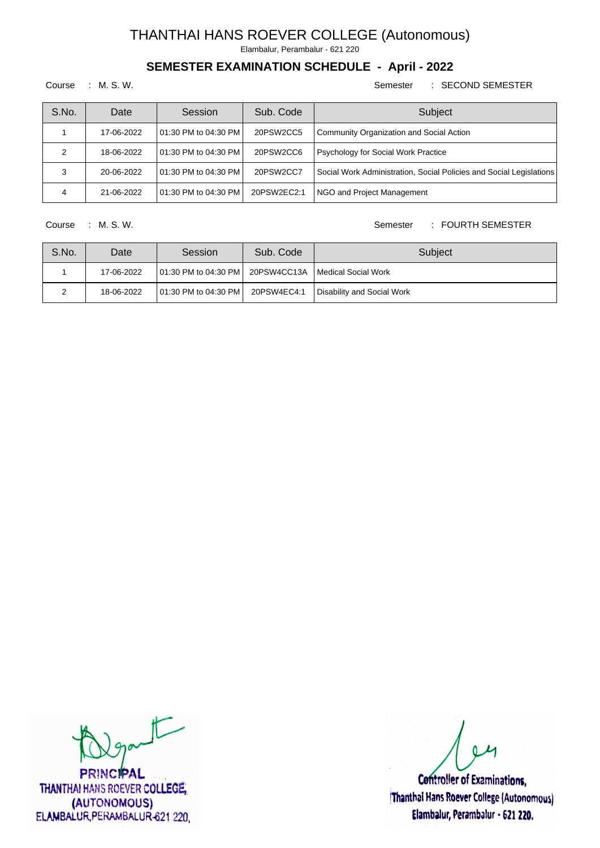Elambalur, Perambalur - 621 220

## **SEMESTER EXAMINATION SCHEDULE - April - 2022**

#### Course : M. S. W. Semester : SECOND SEMESTER

| S.No. | Date       | Session               | Sub. Code   | Subject                                                             |
|-------|------------|-----------------------|-------------|---------------------------------------------------------------------|
|       | 17-06-2022 | 101:30 PM to 04:30 PM | 20PSW2CC5   | Community Organization and Social Action                            |
| 2     | 18-06-2022 | 101:30 PM to 04:30 PM | 20PSW2CC6   | <b>Psychology for Social Work Practice</b>                          |
| 3     | 20-06-2022 | 101:30 PM to 04:30 PM | 20PSW2CC7   | Social Work Administration, Social Policies and Social Legislations |
|       | 21-06-2022 | 101:30 PM to 04:30 PM | 20PSW2EC2:1 | NGO and Project Management                                          |

#### Course : M. S. W. Semester : FOURTH SEMESTER

| S.No. | Date       | Session                                                  | Sub. Code   | Subject                    |
|-------|------------|----------------------------------------------------------|-------------|----------------------------|
|       | 17-06-2022 | 01:30 PM to 04:30 PM   20PSW4CC13A   Medical Social Work |             |                            |
|       | 18-06-2022 | 101:30 PM to 04:30 PM                                    | 20PSW4EC4:1 | Disability and Social Work |

 $t$ 

**PRINCIPAL** THANTHAI HANS ROEVER COLLEGE, (AUTONOMOUS) ELAMBALUR, PERAMBALUR-621 220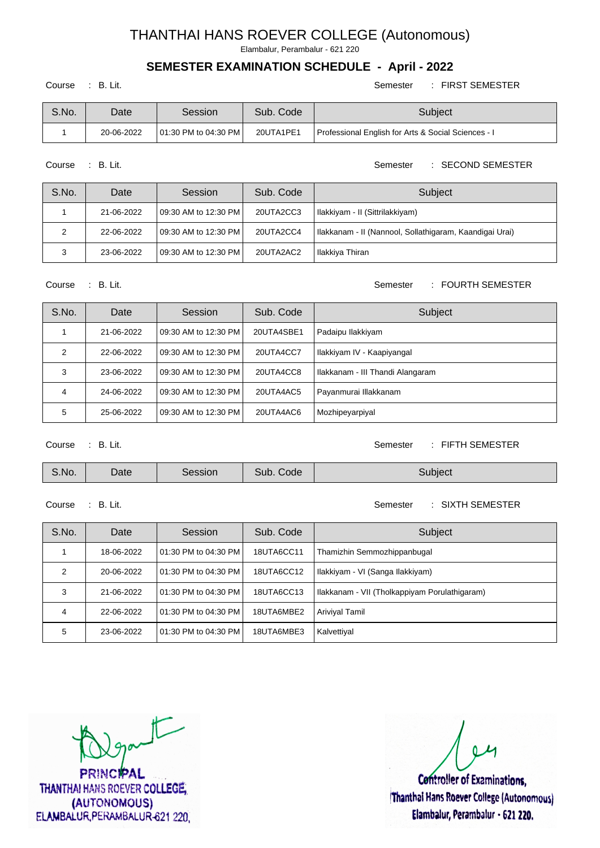Elambalur, Perambalur - 621 220

## **SEMESTER EXAMINATION SCHEDULE - April - 2022**

Course : B. Lit. Semester : FIRST SEMESTER

| S.No. | Date       | Session               | Sub. Code | Subject                                             |
|-------|------------|-----------------------|-----------|-----------------------------------------------------|
|       | 20-06-2022 | 101:30 PM to 04:30 PM | 20UTA1PE1 | Professional English for Arts & Social Sciences - I |

Course : B. Lit. Semester : SECOND SEMESTER

| S.No. | Date       | Session                  | Sub. Code | Subject                                                 |
|-------|------------|--------------------------|-----------|---------------------------------------------------------|
|       | 21-06-2022 | l 09:30 AM to 12:30 PM l | 20UTA2CC3 | Hlakkiyam - II (Sittrilakkiyam)                         |
|       | 22-06-2022 | l 09:30 AM to 12:30 PM l | 20UTA2CC4 | Hlakkanam - II (Nannool, Sollathigaram, Kaandigai Urai) |
| 3     | 23-06-2022 | l 09:30 AM to 12:30 PM l | 20UTA2AC2 | Ilakkiya Thiran                                         |

#### Course : B. Lit. Semester : FOURTH SEMESTER

| S.No. | Date       | Session                  | Sub. Code  | Subject                          |
|-------|------------|--------------------------|------------|----------------------------------|
|       | 21-06-2022 | 109:30 AM to 12:30 PM    | 20UTA4SBE1 | Padaipu Ilakkiyam                |
| 2     | 22-06-2022 | l 09:30 AM to 12:30 PM l | 20UTA4CC7  | Ilakkiyam IV - Kaapiyangal       |
| 3     | 23-06-2022 | l 09:30 AM to 12:30 PM l | 20UTA4CC8  | Ilakkanam - III Thandi Alangaram |
| 4     | 24-06-2022 | l 09:30 AM to 12:30 PM l | 20UTA4AC5  | Payanmurai Illakkanam            |
| 5     | 25-06-2022 | l 09:30 AM to 12:30 PM l | 20UTA4AC6  | Mozhipeyarpiyal                  |

Course : B. Lit. Semester : FIFTH SEMESTER

| S.No. | Date | Session | Sub. Code | Subject |
|-------|------|---------|-----------|---------|
|-------|------|---------|-----------|---------|

#### Course : B. Lit. Semester : SIXTH SEMESTER

| S.No. | Date       | Session                  | Sub. Code  | Subject                                       |
|-------|------------|--------------------------|------------|-----------------------------------------------|
|       | 18-06-2022 | 01:30 PM to 04:30 PM     | 18UTA6CC11 | Thamizhin Semmozhippanbugal                   |
| 2     | 20-06-2022 | 01:30 PM to 04:30 PM     | 18UTA6CC12 | Ilakkiyam - VI (Sanga Ilakkiyam)              |
| 3     | 21-06-2022 | 01:30 PM to 04:30 PM     | 18UTA6CC13 | Ilakkanam - VII (Tholkappiyam Porulathigaram) |
| 4     | 22-06-2022 | l 01:30 PM to 04:30 PM l | 18UTA6MBE2 | Ariviyal Tamil                                |
| 5     | 23-06-2022 | 01:30 PM to 04:30 PM     | 18UTA6MBE3 | Kalvettiyal                                   |

 $t$ 

**PRINCIPAL** THANTHAI HANS ROEVER COLLEGE, (AUTONOMOUS) ELAMBALUR, PERAMBALUR-621 220

**Controller of Examinations,** 

Thanthai Hans Roever College (Autonomous) Elambalur, Perambalur - 621 220.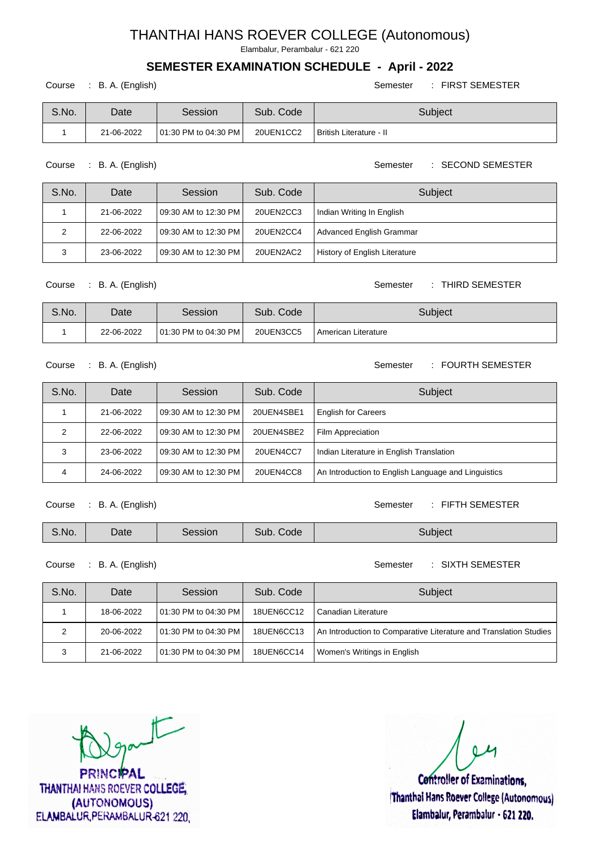Elambalur, Perambalur - 621 220

### **SEMESTER EXAMINATION SCHEDULE - April - 2022**

#### Course : B. A. (English) Semester : FIRST SEMESTER

| S.No. | Date       | Session                 | Sub. Code | Subject                   |
|-------|------------|-------------------------|-----------|---------------------------|
|       | 21-06-2022 | 101:30 PM to 04:30 PM I | 20UEN1CC2 | l British Literature - II |

Course : B. A. (English) Semester : SECOND SEMESTER

| S.No. | Date       | Session                 | Sub. Code | Subject                       |
|-------|------------|-------------------------|-----------|-------------------------------|
|       | 21-06-2022 | 109:30 AM to 12:30 PM I | 20UEN2CC3 | Hndian Writing In English     |
| ົ     | 22-06-2022 | 109:30 AM to 12:30 PM I | 20UEN2CC4 | Advanced English Grammar      |
|       | 23-06-2022 | 109:30 AM to 12:30 PM I | 20UEN2AC2 | History of English Literature |

#### Course : B. A. (English) Semester : THIRD SEMESTER

| S.No. | Date       | Session                 | Sub. Code | Subject             |
|-------|------------|-------------------------|-----------|---------------------|
|       | 22-06-2022 | 101:30 PM to 04:30 PM I | 20UEN3CC5 | American Literature |

#### Course : B. A. (English) Semester : FOURTH SEMESTER

S.No. Date Session Sub. Code Subject 1 | 21-06-2022 | 09:30 AM to 12:30 PM | 20UEN4SBE1 | English for Careers 2 | 22-06-2022 | 09:30 AM to 12:30 PM | 20UEN4SBE2 | Film Appreciation 3 23-06-2022 09:30 AM to 12:30 PM 20UEN4CC7 Indian Literature in English Translation 4 24-06-2022 09:30 AM to 12:30 PM 20UEN4CC8 An Introduction to English Language and Linguistics

Course : B. A. (English) Semester : FIFTH SEMESTER

| S.No. | Date | Session | Sub.<br>Code | Subject |
|-------|------|---------|--------------|---------|
|-------|------|---------|--------------|---------|

Course : B. A. (English) Semester : SIXTH SEMESTER

| S.No. | Date       | Session                 | Sub. Code         | Subject                                                           |
|-------|------------|-------------------------|-------------------|-------------------------------------------------------------------|
|       | 18-06-2022 | 101:30 PM to 04:30 PM I | <b>18UEN6CC12</b> | l Canadian Literature                                             |
|       | 20-06-2022 | 101:30 PM to 04:30 PM I | 18UEN6CC13        | An Introduction to Comparative Literature and Translation Studies |
|       | 21-06-2022 | 101:30 PM to 04:30 PM I | 18UEN6CC14        | Women's Writings in English                                       |

part

RINCIPAL **THANTHAI HANS ROEVER COLLEGE.** (AUTONOMOUS) ELAMBALUR PERAMBALUR-621 220.

**Controller of Examinations.** Thanthai Hans Roever College (Autonomous) Elambalur, Perambalur - 621 220.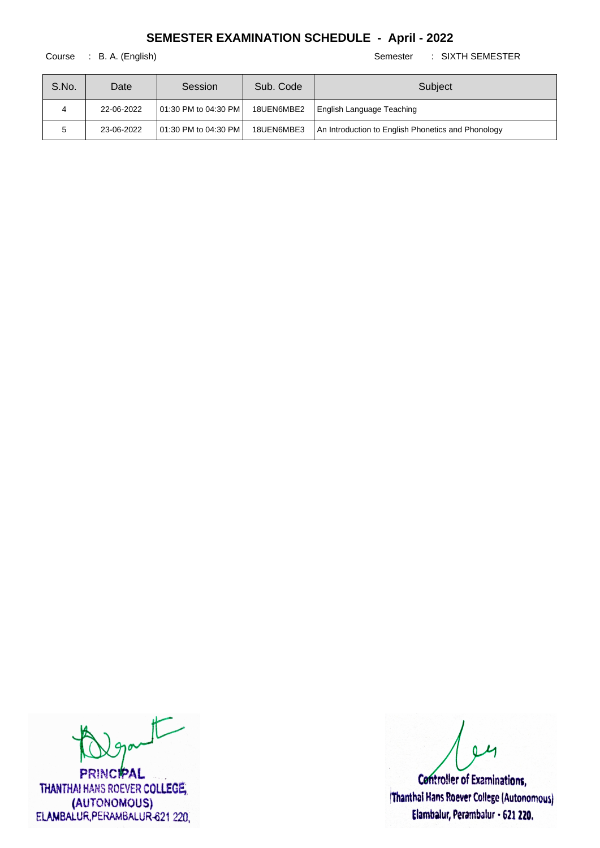Course : B. A. (English) Semester : SIXTH SEMESTER

| S.No. | Date       | Session                 | Sub. Code  | Subject                                            |
|-------|------------|-------------------------|------------|----------------------------------------------------|
|       | 22-06-2022 | 101:30 PM to 04:30 PM I | 18UEN6MBE2 | English Language Teaching                          |
|       | 23-06-2022 | 101:30 PM to 04:30 PM I | 18UEN6MBE3 | An Introduction to English Phonetics and Phonology |

 $t$ 

**PRINCIPAL** THANTHAI HANS ROEVER COLLEGE, (AUTONOMOUS) ELAMBALUR, PERAMBALUR-621 220,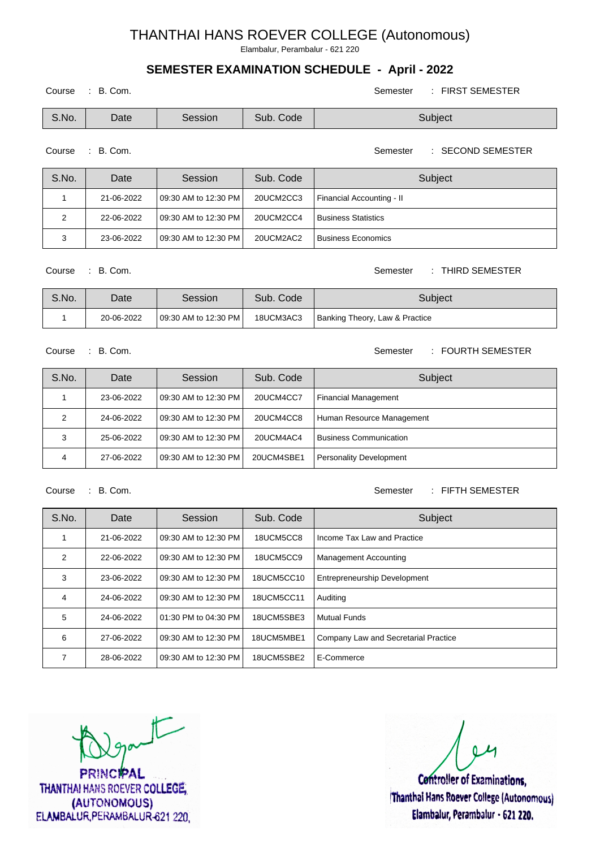Elambalur, Perambalur - 621 220

## **SEMESTER EXAMINATION SCHEDULE - April - 2022**

| Course | B. Com. |         |           | <b>FIRST SEMESTER</b><br>Semester |
|--------|---------|---------|-----------|-----------------------------------|
| S.No.  | Date    | Session | Sub. Code | Subject                           |

Course : B. Com. Semester : SECOND SEMESTER

| S.No. | Date       | <b>Session</b>           | Sub. Code | Subject                    |
|-------|------------|--------------------------|-----------|----------------------------|
|       | 21-06-2022 | l 09:30 AM to 12:30 PM l | 20UCM2CC3 | Financial Accounting - II  |
|       | 22-06-2022 | l 09:30 AM to 12:30 PM l | 20UCM2CC4 | <b>Business Statistics</b> |
|       | 23-06-2022 | l 09:30 AM to 12:30 PM l | 20UCM2AC2 | Business Economics         |

Course : B. Com. Semester : THIRD SEMESTER

| S.No. | Date       | Session               | Sub. Code | Subiect                        |
|-------|------------|-----------------------|-----------|--------------------------------|
|       | 20-06-2022 | 109:30 AM to 12:30 PM | 18UCM3AC3 | Banking Theory, Law & Practice |

Course : B. Com. Semester : FOURTH SEMESTER

| S.No. | Date       | Session                  | Sub. Code  | Subject                        |
|-------|------------|--------------------------|------------|--------------------------------|
|       | 23-06-2022 | l 09:30 AM to 12:30 PM l | 20UCM4CC7  | <b>Financial Management</b>    |
|       | 24-06-2022 | l 09:30 AM to 12:30 PM l | 20UCM4CC8  | Human Resource Management      |
| 3     | 25-06-2022 | l 09:30 AM to 12:30 PM l | 20UCM4AC4  | <b>Business Communication</b>  |
|       | 27-06-2022 | l 09:30 AM to 12:30 PM l | 20UCM4SBE1 | <b>Personality Development</b> |

Course : B. Com. Semester : FIFTH SEMESTER

| S.No. | Date       | Session              | Sub. Code  | Subject                              |
|-------|------------|----------------------|------------|--------------------------------------|
|       | 21-06-2022 | 09:30 AM to 12:30 PM | 18UCM5CC8  | Income Tax Law and Practice          |
| 2     | 22-06-2022 | 09:30 AM to 12:30 PM | 18UCM5CC9  | <b>Management Accounting</b>         |
| 3     | 23-06-2022 | 09:30 AM to 12:30 PM | 18UCM5CC10 | <b>Entrepreneurship Development</b>  |
| 4     | 24-06-2022 | 09:30 AM to 12:30 PM | 18UCM5CC11 | Auditing                             |
| 5     | 24-06-2022 | 01:30 PM to 04:30 PM | 18UCM5SBE3 | l Mutual Funds                       |
| 6     | 27-06-2022 | 09:30 AM to 12:30 PM | 18UCM5MBE1 | Company Law and Secretarial Practice |
| 7     | 28-06-2022 | 09:30 AM to 12:30 PM | 18UCM5SBE2 | E-Commerce                           |

 $t$ 

**PRINCIPAL** THANTHAI HANS ROEVER COLLEGE, (AUTONOMOUS) ELAMBALUR, PERAMBALUR-621 220

**Controller of Examinations,** Thanthai Hans Roever College (Autonomous) Elambalur, Perambalur - 621 220.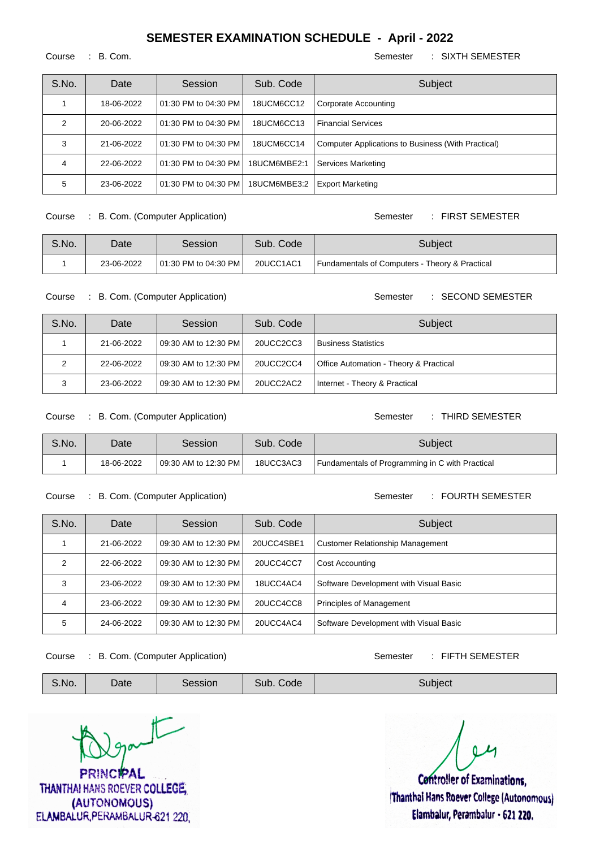Course : B. Com. Semester : SIXTH SEMESTER

| S.No. | Date       | Session                  | Sub. Code    | Subject                                            |
|-------|------------|--------------------------|--------------|----------------------------------------------------|
|       | 18-06-2022 | l 01:30 PM to 04:30 PM l | 18UCM6CC12   | Corporate Accounting                               |
|       | 20-06-2022 | 01:30 PM to 04:30 PM     | 18UCM6CC13   | <b>Financial Services</b>                          |
|       | 21-06-2022 | l 01:30 PM to 04:30 PM l | 18UCM6CC14   | Computer Applications to Business (With Practical) |
|       | 22-06-2022 | l 01:30 PM to 04:30 PM l | 18UCM6MBE2:1 | <b>Services Marketing</b>                          |
| 5     | 23-06-2022 | l 01:30 PM to 04:30 PM l | 18UCM6MBE3:2 | <b>Export Marketing</b>                            |

Course : B. Com. (Computer Application) Semester : FIRST SEMESTER

| S.No. | Date       | Session                 | Sub. Code | Subiect                                                   |
|-------|------------|-------------------------|-----------|-----------------------------------------------------------|
|       | 23-06-2022 | 101:30 PM to 04:30 PM I | 20UCC1AC1 | <b>Fundamentals of Computers - Theory &amp; Practical</b> |

Course : B. Com. (Computer Application) Semester : SECOND SEMESTER

| S.No. | Date       | <b>Session</b>           | Sub. Code | Subject                                |
|-------|------------|--------------------------|-----------|----------------------------------------|
|       | 21-06-2022 | l 09:30 AM to 12:30 PM l | 20UCC2CC3 | Business Statistics                    |
|       | 22-06-2022 | l 09:30 AM to 12:30 PM l | 20UCC2CC4 | Office Automation - Theory & Practical |
|       | 23-06-2022 | l 09:30 AM to 12:30 PM l | 20UCC2AC2 | Internet - Theory & Practical          |

Course : B. Com. (Computer Application) Semester : THIRD SEMESTER

| S.No. | Date       | Session                 | Sub. Code | Subiect                                         |
|-------|------------|-------------------------|-----------|-------------------------------------------------|
|       | 18-06-2022 | 109:30 AM to 12:30 PM L | 18UCC3AC3 | Fundamentals of Programming in C with Practical |

#### Course : B. Com. (Computer Application) Semester : FOURTH SEMESTER

| S.No. | Date       | Session                  | Sub. Code  | Subject                                 |
|-------|------------|--------------------------|------------|-----------------------------------------|
|       | 21-06-2022 | l 09:30 AM to 12:30 PM l | 20UCC4SBE1 | <b>Customer Relationship Management</b> |
| 2     | 22-06-2022 | l 09:30 AM to 12:30 PM l | 20UCC4CC7  | <b>Cost Accounting</b>                  |
| 3     | 23-06-2022 | 09:30 AM to 12:30 PM I   | 18UCC4AC4  | Software Development with Visual Basic  |
| 4     | 23-06-2022 | 09:30 AM to 12:30 PM I   | 20UCC4CC8  | <b>Principles of Management</b>         |
| 5     | 24-06-2022 | l 09:30 AM to 12:30 PM l | 20UCC4AC4  | Software Development with Visual Basic  |

Course : B. Com. (Computer Application) Semester : FIFTH SEMESTER

| S.No. | $\mathcal Q$ ate | Session | Sub. Code | Subject |
|-------|------------------|---------|-----------|---------|
|-------|------------------|---------|-----------|---------|

 $\sqrt{2}$ **PRINCIPAL** 

THANTHAI HANS ROEVER COLLEGE, (AUTONOMOUS) ELAMBALUR, PERAMBALUR-621 220

**Controller of Examinations.** Thanthai Hans Roever College (Autonomous)

Elambalur, Perambalur - 621 220.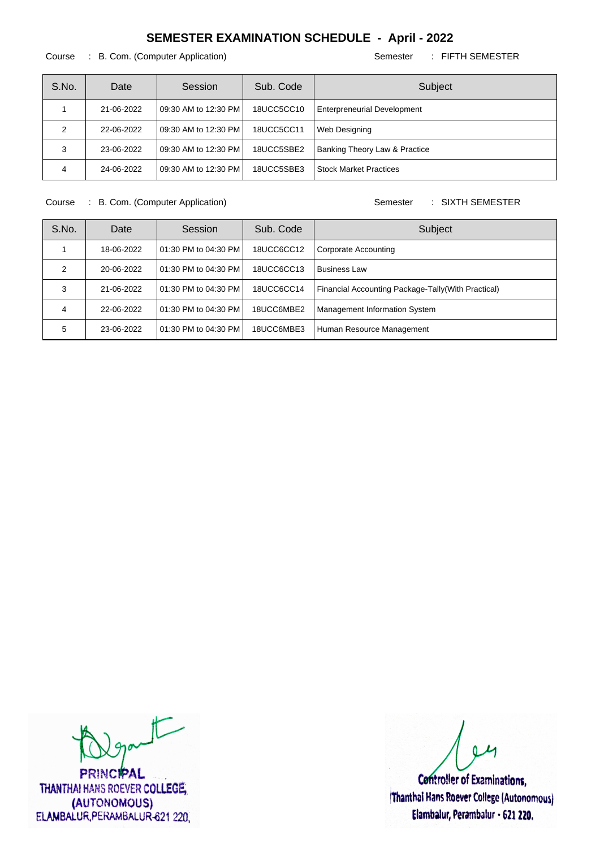#### Course : B. Com. (Computer Application) Semester : FIFTH SEMESTER

| S.No. | Date       | Session                | Sub. Code  | Subject                            |
|-------|------------|------------------------|------------|------------------------------------|
|       | 21-06-2022 | l 09:30 AM to 12:30 PM | 18UCC5CC10 | <b>Enterpreneurial Development</b> |
|       | 22-06-2022 | l 09:30 AM to 12:30 PM | 18UCC5CC11 | Web Designing                      |
| 3     | 23-06-2022 | l 09:30 AM to 12:30 PM | 18UCC5SBE2 | Banking Theory Law & Practice      |
| 4     | 24-06-2022 | l 09:30 AM to 12:30 PM | 18UCC5SBE3 | <b>Stock Market Practices</b>      |

Course : B. Com. (Computer Application) Semester : SIXTH SEMESTER

| S.No. | Date       | Session                  | Sub. Code  | Subject                                             |
|-------|------------|--------------------------|------------|-----------------------------------------------------|
|       | 18-06-2022 | 01:30 PM to 04:30 PM     | 18UCC6CC12 | Corporate Accounting                                |
| 2     | 20-06-2022 | 01:30 PM to 04:30 PM     | 18UCC6CC13 | <b>Business Law</b>                                 |
| 3     | 21-06-2022 | 01:30 PM to 04:30 PM     | 18UCC6CC14 | Financial Accounting Package-Tally (With Practical) |
| 4     | 22-06-2022 | l 01:30 PM to 04:30 PM l | 18UCC6MBE2 | Management Information System                       |
| 5     | 23-06-2022 | l 01:30 PM to 04:30 PM l | 18UCC6MBE3 | Human Resource Management                           |

 $t$ 

**PRINCIPAL** THANTHAI HANS ROEVER COLLEGE, (AUTONOMOUS) ELAMBALUR, PERAMBALUR-621 220.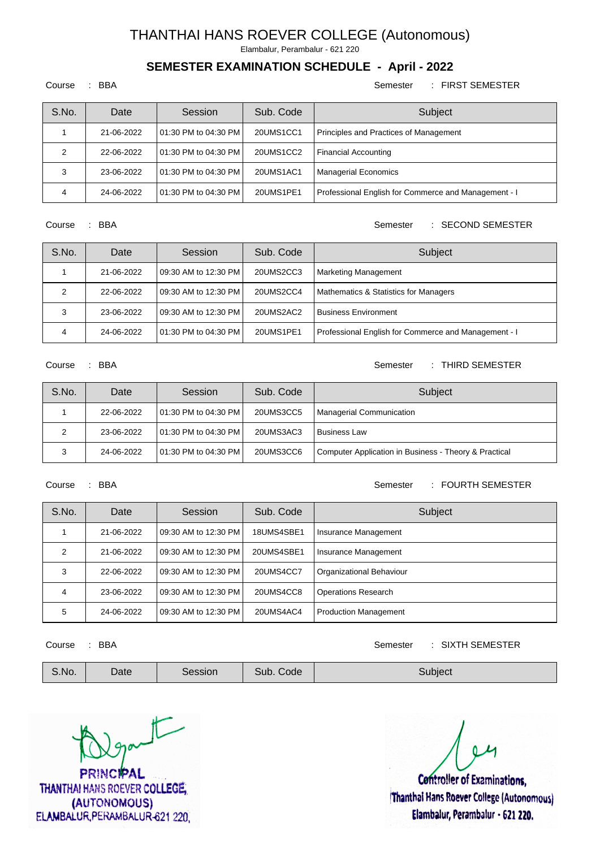Elambalur, Perambalur - 621 220

#### **SEMESTER EXAMINATION SCHEDULE - April - 2022**

#### Course : BBA Semester : FIRST SEMESTER

| S.No. | Date       | Session                  | Sub. Code | Subject                                              |
|-------|------------|--------------------------|-----------|------------------------------------------------------|
|       | 21-06-2022 | 01:30 PM to 04:30 PM     | 20UMS1CC1 | Principles and Practices of Management               |
| ◠     | 22-06-2022 | l 01:30 PM to 04:30 PM l | 20UMS1CC2 | <b>Financial Accounting</b>                          |
| 3     | 23-06-2022 | l 01:30 PM to 04:30 PM l | 20UMS1AC1 | Managerial Economics                                 |
|       | 24-06-2022 | 01:30 PM to 04:30 PM     | 20UMS1PE1 | Professional English for Commerce and Management - I |

#### Course : BBA Semester : SECOND SEMESTER

| S.No. | Date       | Session                  | Sub. Code | Subject                                              |
|-------|------------|--------------------------|-----------|------------------------------------------------------|
|       | 21-06-2022 | l 09:30 AM to 12:30 PM l | 20UMS2CC3 | <b>Marketing Management</b>                          |
|       | 22-06-2022 | l 09:30 AM to 12:30 PM l | 20UMS2CC4 | <b>Mathematics &amp; Statistics for Managers</b>     |
|       | 23-06-2022 | 09:30 AM to 12:30 PM     | 20UMS2AC2 | <b>Business Environment</b>                          |
| 4     | 24-06-2022 | l 01:30 PM to 04:30 PM l | 20UMS1PE1 | Professional English for Commerce and Management - I |

#### Course : BBA Semester : THIRD SEMESTER

| S.No. | Date       | Session                 | Sub. Code | Subject                                               |
|-------|------------|-------------------------|-----------|-------------------------------------------------------|
|       | 22-06-2022 | 101:30 PM to 04:30 PM I | 20UMS3CC5 | Managerial Communication                              |
|       | 23-06-2022 | 101:30 PM to 04:30 PM I | 20UMS3AC3 | <b>Business Law</b>                                   |
|       | 24-06-2022 | 101:30 PM to 04:30 PM I | 20UMS3CC6 | Computer Application in Business - Theory & Practical |

#### Course : BBA Semester : FOURTH SEMESTER

| S.No. | Date       | Session              | Sub. Code  | Subject                     |
|-------|------------|----------------------|------------|-----------------------------|
|       | 21-06-2022 | 09:30 AM to 12:30 PM | 18UMS4SBE1 | <b>Insurance Management</b> |
|       | 21-06-2022 | 09:30 AM to 12:30 PM | 20UMS4SBE1 | Insurance Management        |
| 3     | 22-06-2022 | 09:30 AM to 12:30 PM | 20UMS4CC7  | Organizational Behaviour    |
| 4     | 23-06-2022 | 09:30 AM to 12:30 PM | 20UMS4CC8  | <b>Operations Research</b>  |
| 5     | 24-06-2022 | 09:30 AM to 12:30 PM | 20UMS4AC4  | Production Management       |

### Course : BBA Semester : SIXTH SEMESTER

 $\sqrt{2}$ **PRINCIPAL** 

THANTHAI HANS ROEVER COLLEGE, (AUTONOMOUS) ELAMBALUR, PERAMBALUR-621 220

**Controller of Examinations.** Thanthai Hans Roever College (Autonomous) Elambalur, Perambalur - 621 220.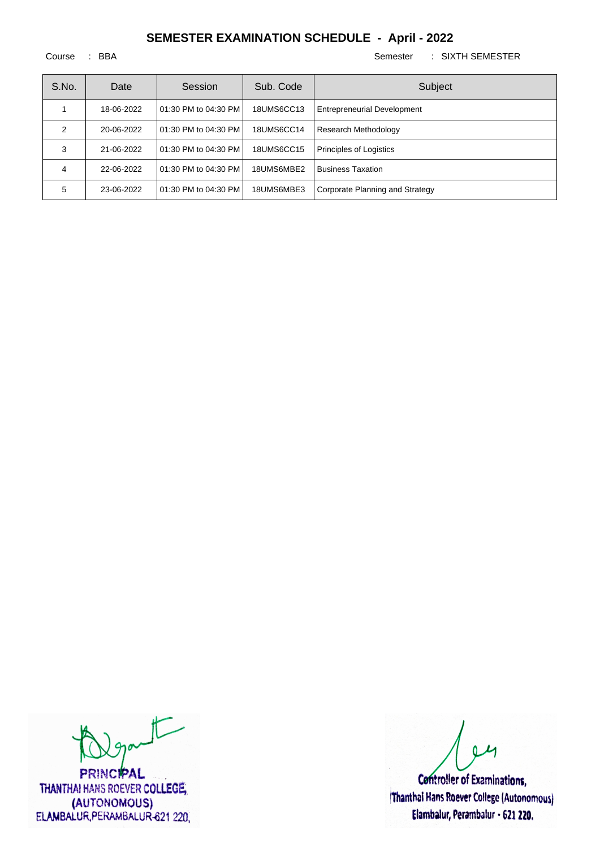Course : BBA Semester : SIXTH SEMESTER

| S.No. | Date       | Session              | Sub. Code  | Subject                            |
|-------|------------|----------------------|------------|------------------------------------|
|       | 18-06-2022 | 01:30 PM to 04:30 PM | 18UMS6CC13 | <b>Entrepreneurial Development</b> |
| 2     | 20-06-2022 | 01:30 PM to 04:30 PM | 18UMS6CC14 | Research Methodology               |
| 3     | 21-06-2022 | 01:30 PM to 04:30 PM | 18UMS6CC15 | <b>Principles of Logistics</b>     |
| 4     | 22-06-2022 | 01:30 PM to 04:30 PM | 18UMS6MBE2 | <b>Business Taxation</b>           |
| 5     | 23-06-2022 | 01:30 PM to 04:30 PM | 18UMS6MBE3 | Corporate Planning and Strategy    |

 $t$ 

**PRINCIPAL** THANTHAI HANS ROEVER COLLEGE, (AUTONOMOUS) ELAMBALUR, PERAMBALUR-621 220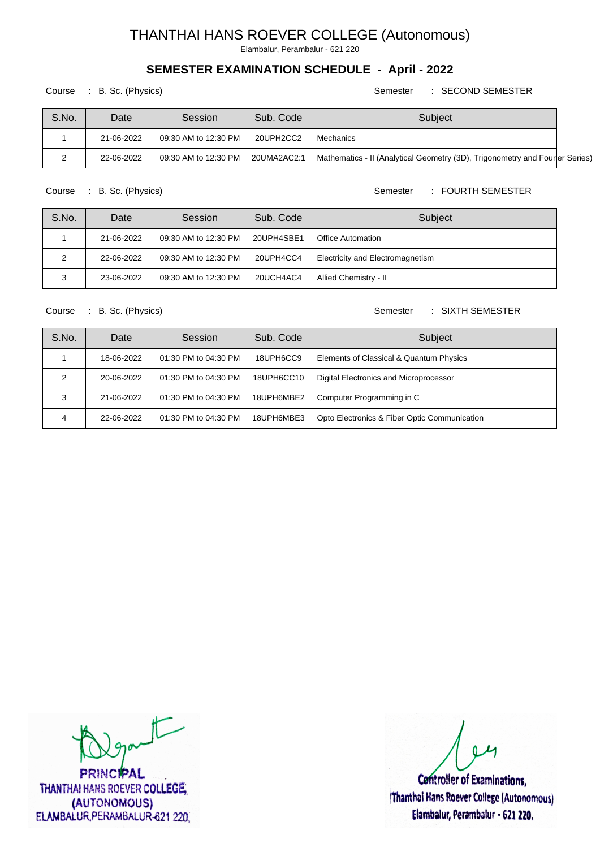Elambalur, Perambalur - 621 220

## **SEMESTER EXAMINATION SCHEDULE - April - 2022**

Course : B. Sc. (Physics) Semester : SECOND SEMESTER

| S.No. | Date       | Session                 | Sub. Code   | Subject                                                                      |  |
|-------|------------|-------------------------|-------------|------------------------------------------------------------------------------|--|
|       | 21-06-2022 | 109:30 AM to 12:30 PM I | 20UPH2CC2   | l Mechanics                                                                  |  |
|       | 22-06-2022 | 109:30 AM to 12:30 PM I | 20UMA2AC2:1 | Mathematics - II (Analytical Geometry (3D), Trigonometry and Fourler Series) |  |

Course : B. Sc. (Physics) Semester : FOURTH SEMESTER

| S.No. | Date       | Session                 | Sub. Code  | Subject                          |
|-------|------------|-------------------------|------------|----------------------------------|
|       | 21-06-2022 | 109:30 AM to 12:30 PM I | 20UPH4SBE1 | Office Automation                |
| 2     | 22-06-2022 | 109:30 AM to 12:30 PM I | 20UPH4CC4  | Electricity and Electromagnetism |
| 3     | 23-06-2022 | 109:30 AM to 12:30 PM I | 20UCH4AC4  | Allied Chemistry - II            |

Course : B. Sc. (Physics) Semester : SIXTH SEMESTER

| S.No. | Date       | Session                  | Sub. Code  | Subject                                      |
|-------|------------|--------------------------|------------|----------------------------------------------|
|       | 18-06-2022 | 01:30 PM to 04:30 PM     | 18UPH6CC9  | Elements of Classical & Quantum Physics      |
|       | 20-06-2022 | l 01:30 PM to 04:30 PM l | 18UPH6CC10 | Digital Electronics and Microprocessor       |
|       | 21-06-2022 | l 01:30 PM to 04:30 PM l | 18UPH6MBE2 | Computer Programming in C                    |
| 4     | 22-06-2022 | l 01:30 PM to 04:30 PM l | 18UPH6MBE3 | Opto Electronics & Fiber Optic Communication |

 $t$ 

**PRINCIPAL** THANTHAI HANS ROEVER COLLEGE, (AUTONOMOUS) ELAMBALUR, PERAMBALUR-621 220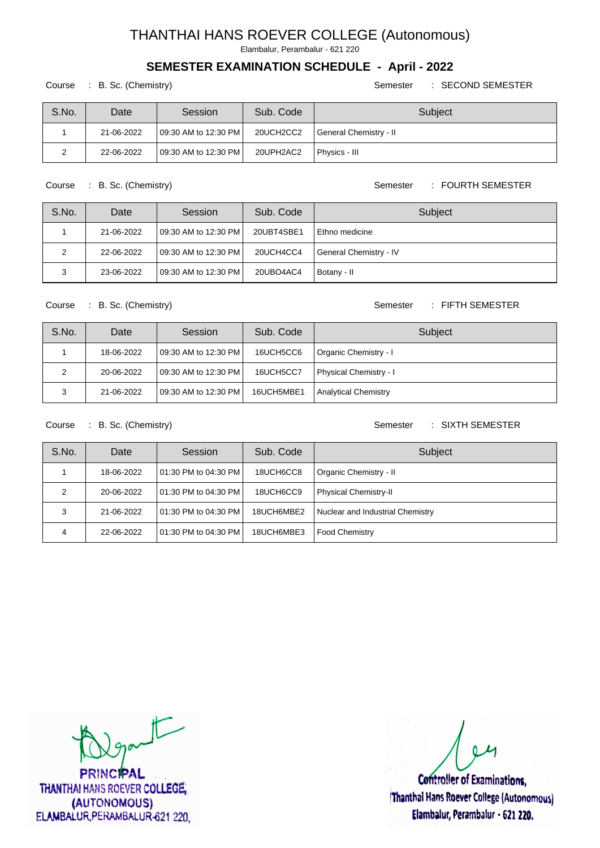Elambalur, Perambalur - 621 220

### **SEMESTER EXAMINATION SCHEDULE - April - 2022**

#### Course : B. Sc. (Chemistry) Semester : SECOND SEMESTER

| S.No. | Date       | Session                  | Sub. Code | Subject                |
|-------|------------|--------------------------|-----------|------------------------|
|       | 21-06-2022 | 109:30 AM to 12:30 PM I  | 20UCH2CC2 | General Chemistry - II |
|       | 22-06-2022 | l 09:30 AM to 12:30 PM l | 20UPH2AC2 | Physics III            |

Course : B. Sc. (Chemistry) Course : B. Sc. (Chemistry)

| S.No. | Date       | Session                 | Sub. Code  | Subject                |
|-------|------------|-------------------------|------------|------------------------|
|       | 21-06-2022 | 109:30 AM to 12:30 PM I | 20UBT4SBE1 | Ethno medicine         |
|       | 22-06-2022 | 109:30 AM to 12:30 PM I | 20UCH4CC4  | General Chemistry - IV |
| 3     | 23-06-2022 | 109:30 AM to 12:30 PM I | 20UBO4AC4  | Botany - II            |

#### Course : B. Sc. (Chemistry) Semester : FIFTH SEMESTER

| S.No. | Date       | Session                 | Sub. Code  | Subject                       |
|-------|------------|-------------------------|------------|-------------------------------|
|       | 18-06-2022 | 109:30 AM to 12:30 PM I | 16UCH5CC6  | Organic Chemistry - I         |
| ົ     | 20-06-2022 | 109:30 AM to 12:30 PM I | 16UCH5CC7  | <b>Physical Chemistry - I</b> |
| ີ     | 21-06-2022 | 109:30 AM to 12:30 PM   | 16UCH5MBE1 | <b>Analytical Chemistry</b>   |

Course : B. Sc. (Chemistry) Semester : SIXTH SEMESTER

| S.No. | Date       | Session                 | Sub. Code  | Subject                          |
|-------|------------|-------------------------|------------|----------------------------------|
|       | 18-06-2022 | 101:30 PM to 04:30 PM I | 18UCH6CC8  | Organic Chemistry - II           |
|       | 20-06-2022 | 101:30 PM to 04:30 PM I | 18UCH6CC9  | Physical Chemistry-II            |
| 3     | 21-06-2022 | 101:30 PM to 04:30 PM   | 18UCH6MBE2 | Nuclear and Industrial Chemistry |
|       | 22-06-2022 | 101:30 PM to 04:30 PM l | 18UCH6MBE3 | Food Chemistry                   |

 $t$ 

**PRINCIPAL** THANTHAI HANS ROEVER COLLEGE, (AUTONOMOUS) ELAMBALUR, PERAMBALUR-621 220,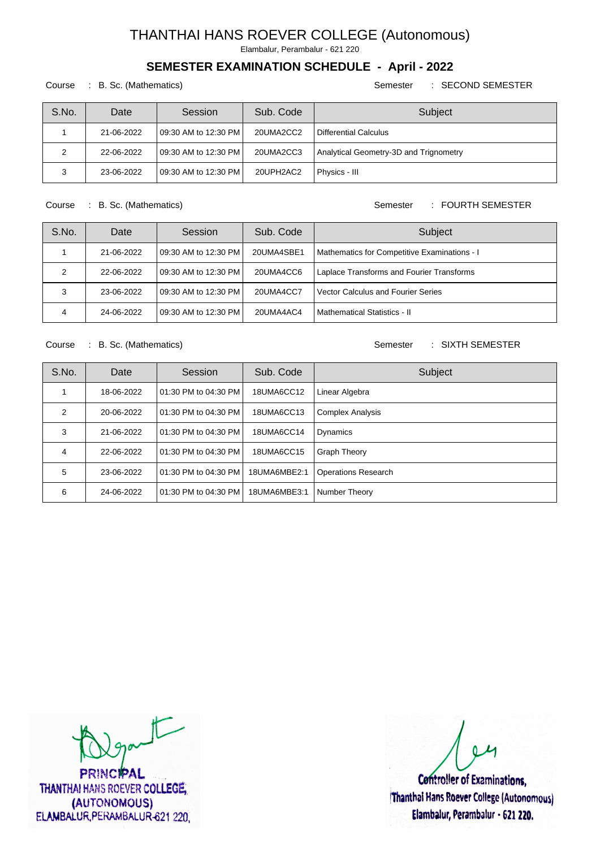Elambalur, Perambalur - 621 220

## **SEMESTER EXAMINATION SCHEDULE - April - 2022**

#### Course : B. Sc. (Mathematics) Semester : SECOND SEMESTER

| S.No. | Date       | Session                  | Sub. Code | Subject                                |
|-------|------------|--------------------------|-----------|----------------------------------------|
|       | 21-06-2022 | l 09:30 AM to 12:30 PM l | 20UMA2CC2 | Differential Calculus                  |
| 2     | 22-06-2022 | l 09:30 AM to 12:30 PM l | 20UMA2CC3 | Analytical Geometry-3D and Trignometry |
| ີ     | 23-06-2022 | 09:30 AM to 12:30 PM     | 20UPH2AC2 | Physics - III                          |

Course : B. Sc. (Mathematics) Semester : FOURTH SEMESTER

| S.No. | Date       | Session                  | Sub. Code  | Subject                                      |
|-------|------------|--------------------------|------------|----------------------------------------------|
|       | 21-06-2022 | 09:30 AM to 12:30 PM     | 20UMA4SBE1 | Mathematics for Competitive Examinations - I |
| 2     | 22-06-2022 | l 09:30 AM to 12:30 PM l | 20UMA4CC6  | Laplace Transforms and Fourier Transforms    |
| 3     | 23-06-2022 | 09:30 AM to 12:30 PM     | 20UMA4CC7  | <b>Vector Calculus and Fourier Series</b>    |
| 4     | 24-06-2022 | 09:30 AM to 12:30 PM     | 20UMA4AC4  | l Mathematical Statistics - II               |

Course : B. Sc. (Mathematics) Semester : SIXTH SEMESTER

| S.No. | Date       | Session              | Sub. Code    | Subject                    |
|-------|------------|----------------------|--------------|----------------------------|
|       | 18-06-2022 | 01:30 PM to 04:30 PM | 18UMA6CC12   | Linear Algebra             |
| 2     | 20-06-2022 | 01:30 PM to 04:30 PM | 18UMA6CC13   | <b>Complex Analysis</b>    |
| 3     | 21-06-2022 | 01:30 PM to 04:30 PM | 18UMA6CC14   | Dynamics                   |
| 4     | 22-06-2022 | 01:30 PM to 04:30 PM | 18UMA6CC15   | <b>Graph Theory</b>        |
| 5     | 23-06-2022 | 01:30 PM to 04:30 PM | 18UMA6MBE2:1 | <b>Operations Research</b> |
| 6     | 24-06-2022 | 01:30 PM to 04:30 PM | 18UMA6MBE3:1 | Number Theory              |

 $\sqrt{2}$ 

**PRINCIPAL** THANTHAI HANS ROEVER COLLEGE, (AUTONOMOUS) ELAMBALUR, PERAMBALUR-621 220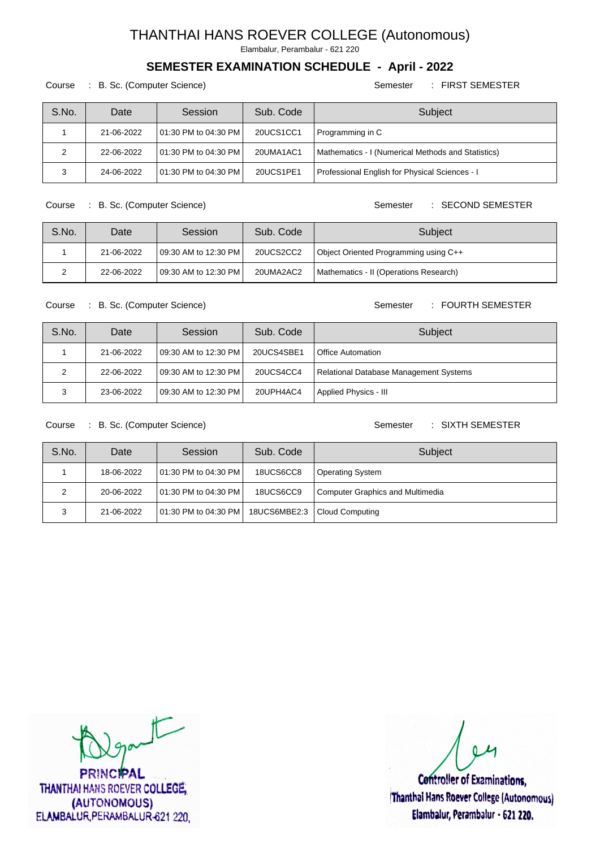Elambalur, Perambalur - 621 220

### **SEMESTER EXAMINATION SCHEDULE - April - 2022**

Course : B. Sc. (Computer Science) Semester : FIRST SEMESTER

| S.No. | Date       | Session                  | Sub. Code | Subject                                            |
|-------|------------|--------------------------|-----------|----------------------------------------------------|
|       | 21-06-2022 | l 01:30 PM to 04:30 PM l | 20UCS1CC1 | Programming in C                                   |
| 2     | 22-06-2022 | l 01:30 PM to 04:30 PM l | 20UMA1AC1 | Mathematics - I (Numerical Methods and Statistics) |
| ີ     | 24-06-2022 | l 01:30 PM to 04:30 PM l | 20UCS1PE1 | Professional English for Physical Sciences - I     |

Course : B. Sc. (Computer Science) Semester : SECOND SEMESTER

| S.No. | Date       | Session                  | Sub. Code | Subject                                |
|-------|------------|--------------------------|-----------|----------------------------------------|
|       | 21-06-2022 | l 09:30 AM to 12:30 PM l | 20UCS2CC2 | Object Oriented Programming using C++  |
|       | 22-06-2022 | 109:30 AM to 12:30 PM    | 20UMA2AC2 | Mathematics - II (Operations Research) |

Course : B. Sc. (Computer Science) Semester : FOURTH SEMESTER

| S.No. | Date       | Session                  | Sub. Code  | Subject                                |
|-------|------------|--------------------------|------------|----------------------------------------|
|       | 21-06-2022 | l 09:30 AM to 12:30 PM l | 20UCS4SBE1 | l Office Automation                    |
| າ     | 22-06-2022 | 109:30 AM to 12:30 PM I  | 20UCS4CC4  | Relational Database Management Systems |
|       | 23-06-2022 | 09:30 AM to 12:30 PM     | 20UPH4AC4  | Applied Physics - III                  |

Course : B. Sc. (Computer Science) Semester : SIXTH SEMESTER

| S.No. | Date       | Session                 | Sub. Code        | Subject                          |
|-------|------------|-------------------------|------------------|----------------------------------|
|       | 18-06-2022 | 101:30 PM to 04:30 PM I | <b>18UCS6CC8</b> | <b>Operating System</b>          |
| ົ     | 20-06-2022 | 101:30 PM to 04:30 PM I | 18UCS6CC9        | Computer Graphics and Multimedia |
| 3     | 21-06-2022 | 101:30 PM to 04:30 PM I | 18UCS6MBE2:3     | Cloud Computing                  |

 $\sqrt{2}$ 

**PRINCIPAL** THANTHAI HANS ROEVER COLLEGE, (AUTONOMOUS) ELAMBALUR, PERAMBALUR-621 220,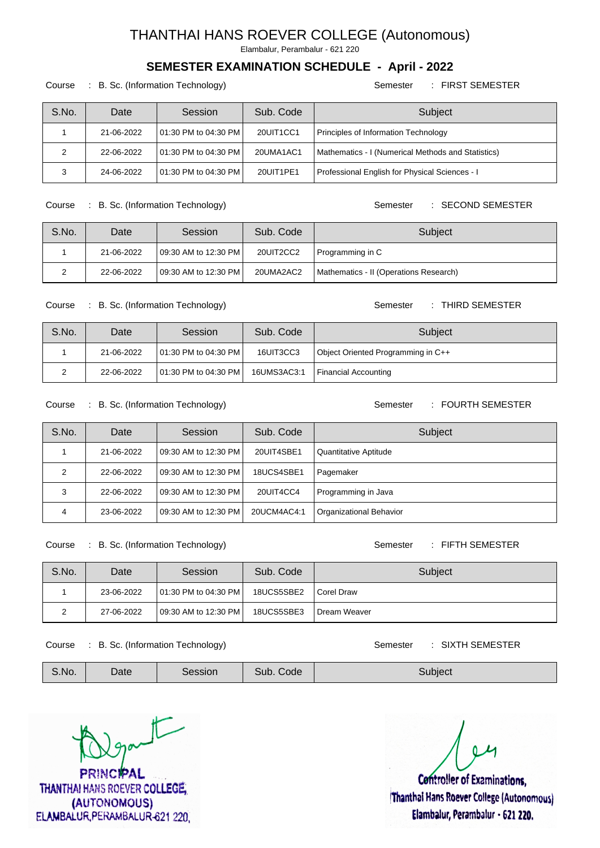Elambalur, Perambalur - 621 220

### **SEMESTER EXAMINATION SCHEDULE - April - 2022**

Course : B. Sc. (Information Technology) Semester : FIRST SEMESTER

| S.No. | Date       | Session                  | Sub. Code | Subject                                            |
|-------|------------|--------------------------|-----------|----------------------------------------------------|
|       | 21-06-2022 | l 01:30 PM to 04:30 PM l | 20UIT1CC1 | Principles of Information Technology               |
| 2     | 22-06-2022 | l 01:30 PM to 04:30 PM l | 20UMA1AC1 | Mathematics - I (Numerical Methods and Statistics) |
| ີ     | 24-06-2022 | 01:30 PM to 04:30 PM     | 20UIT1PE1 | Professional English for Physical Sciences - I     |

Course : B. Sc. (Information Technology) Semester : SECOND SEMESTER

S.No. Date Session Sub. Code Subject 1 | 21-06-2022 | 09:30 AM to 12:30 PM | 20UIT2CC2 | Programming in C 2 22-06-2022 09:30 AM to 12:30 PM 20UMA2AC2 Mathematics - II (Operations Research)

Course : B. Sc. (Information Technology) Semester : THIRD SEMESTER

| S.No. | Date       | Session                 | Sub. Code   | Subject                            |
|-------|------------|-------------------------|-------------|------------------------------------|
|       | 21-06-2022 | 101:30 PM to 04:30 PM   | 16UIT3CC3   | Object Oriented Programming in C++ |
|       | 22-06-2022 | 101:30 PM to 04:30 PM I | 16UMS3AC3:1 | Financial Accounting               |

Course : B. Sc. (Information Technology) Semester : FOURTH SEMESTER

| S.No. | Date       | Session                  | Sub. Code   | Subject                        |
|-------|------------|--------------------------|-------------|--------------------------------|
|       | 21-06-2022 | l 09:30 AM to 12:30 PM l | 20UIT4SBE1  | Quantitative Aptitude          |
| 2     | 22-06-2022 | l 09:30 AM to 12:30 PM l | 18UCS4SBE1  | Pagemaker                      |
| 3     | 22-06-2022 | l 09:30 AM to 12:30 PM l | 20UIT4CC4   | Programming in Java            |
| 4     | 23-06-2022 | 09:30 AM to 12:30 PM     | 20UCM4AC4:1 | <b>Organizational Behavior</b> |

Course : B. Sc. (Information Technology) Semester : FIFTH SEMESTER

| S.No. | Date       | Session                 | Sub. Code  | Subject        |
|-------|------------|-------------------------|------------|----------------|
|       | 23-06-2022 | 101:30 PM to 04:30 PM I | 18UCS5SBE2 | I Corel Draw   |
|       | 27-06-2022 | 109:30 AM to 12:30 PM I | 18UCS5SBE3 | I Dream Weaver |

Course : B. Sc. (Information Technology) Semester : SIXTH SEMESTER

| <b>The American</b><br>Date<br>Sub.<br>Session<br>S.No.<br>subiect<br>Code |  |
|----------------------------------------------------------------------------|--|
|----------------------------------------------------------------------------|--|

 $T_{\text{part}}$ **PRINCIPAL** 

THANTHAI HANS ROEVER COLLEGE. (AUTONOMOUS) ELAMBALUR, PERAMBALUR-621 220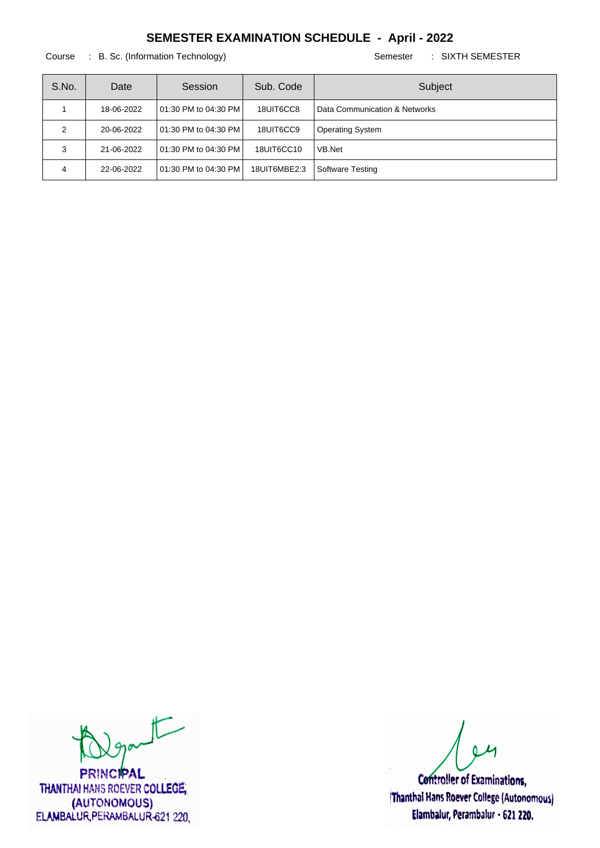Course : B. Sc. (Information Technology) Semester : SIXTH SEMESTER

| S.No. | Date       | Session                | Sub. Code    | Subject                       |
|-------|------------|------------------------|--------------|-------------------------------|
|       | 18-06-2022 | l 01:30 PM to 04:30 PM | 18UIT6CC8    | Data Communication & Networks |
|       | 20-06-2022 | l 01:30 PM to 04:30 PM | 18UIT6CC9    | <b>Operating System</b>       |
| 3     | 21-06-2022 | l 01:30 PM to 04:30 PM | 18UIT6CC10   | VB.Net                        |
| 4     | 22-06-2022 | 01:30 PM to 04:30 PM   | 18UIT6MBE2:3 | Software Testing              |

 $t$ 

**PRINCIPAL** THANTHAI HANS ROEVER COLLEGE, (AUTONOMOUS) ELAMBALUR, PERAMBALUR-621 220,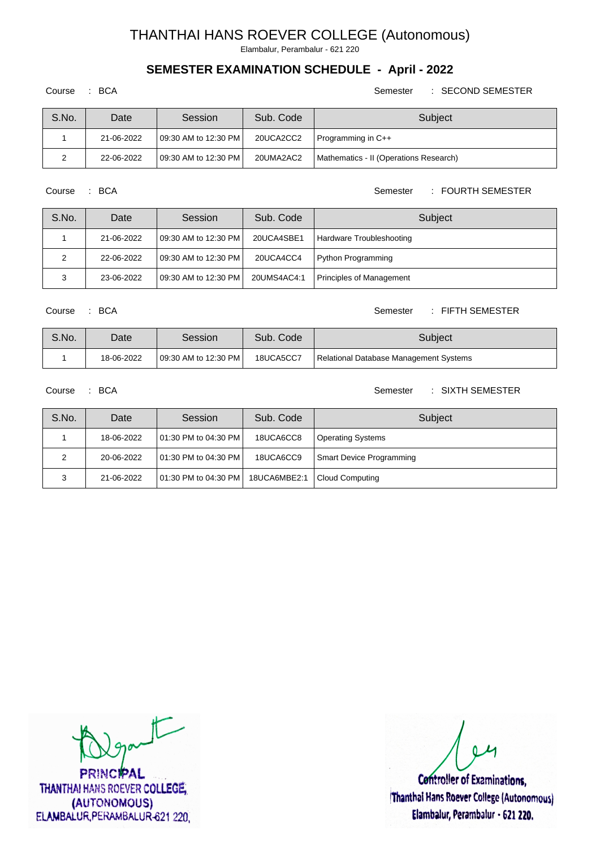Elambalur, Perambalur - 621 220

## **SEMESTER EXAMINATION SCHEDULE - April - 2022**

Course : BCA Semester : SECOND SEMESTER

| S.No. | Date       | Session                  | Sub. Code | Subject                                |
|-------|------------|--------------------------|-----------|----------------------------------------|
|       | 21-06-2022 | l 09:30 AM to 12:30 PM l | 20UCA2CC2 | Programming in C++                     |
|       | 22-06-2022 | l 09:30 AM to 12:30 PM l | 20UMA2AC2 | Mathematics - II (Operations Research) |

Course : BCA Semester : FOURTH SEMESTER

| S.No. | Date       | Session                 | Sub. Code   | Subject                         |
|-------|------------|-------------------------|-------------|---------------------------------|
|       | 21-06-2022 | 109:30 AM to 12:30 PM I | 20UCA4SBE1  | Hardware Troubleshooting        |
|       | 22-06-2022 | 109:30 AM to 12:30 PM I | 20UCA4CC4   | Python Programming              |
|       | 23-06-2022 | l 09:30 AM to 12:30 PM  | 20UMS4AC4:1 | <b>Principles of Management</b> |

#### Course : BCA Semester : FIFTH SEMESTER

| S.No. | Date       | Session               | Sub. Code | Subject                                |
|-------|------------|-----------------------|-----------|----------------------------------------|
|       | 18-06-2022 | 109:30 AM to 12:30 PM | 18UCA5CC7 | Relational Database Management Systems |

Course : BCA Semester : SIXTH SEMESTER

| S.No. | Date       | Session                 | Sub. Code    | Subject                         |
|-------|------------|-------------------------|--------------|---------------------------------|
|       | 18-06-2022 | 101:30 PM to 04:30 PM I | 18UCA6CC8    | <b>Operating Systems</b>        |
| ົ     | 20-06-2022 | 101:30 PM to 04:30 PM I | 18UCA6CC9    | <b>Smart Device Programming</b> |
| ٮ     | 21-06-2022 | 101:30 PM to 04:30 PM L | 18UCA6MBE2:1 | Cloud Computing                 |

 $\sqrt{2}$ 

**PRINCIPAL** THANTHAI HANS ROEVER COLLEGE, (AUTONOMOUS) ELAMBALUR, PERAMBALUR-621 220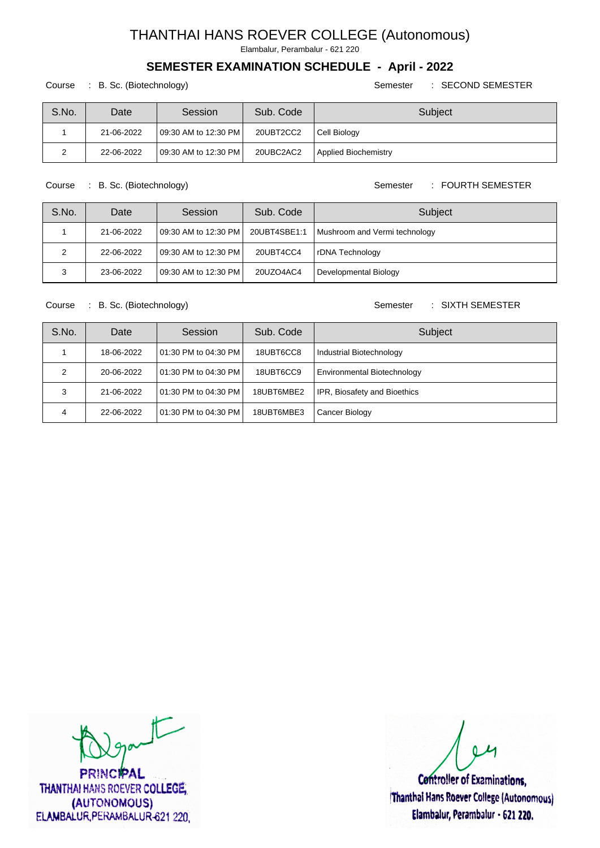Elambalur, Perambalur - 621 220

### **SEMESTER EXAMINATION SCHEDULE - April - 2022**

Course : B. Sc. (Biotechnology) Semester : SECOND SEMESTER

| S.No. | Date       | Session                 | Sub. Code | Subject                     |
|-------|------------|-------------------------|-----------|-----------------------------|
|       | 21-06-2022 | 109:30 AM to 12:30 PM I | 20UBT2CC2 | Cell Biology                |
|       | 22-06-2022 | 109:30 AM to 12:30 PM L | 20UBC2AC2 | <b>Applied Biochemistry</b> |

Course : B. Sc. (Biotechnology) Semester : FOURTH SEMESTER

| S.No. | Date       | Session                 | Sub. Code | Subject                                      |
|-------|------------|-------------------------|-----------|----------------------------------------------|
|       | 21-06-2022 | 109:30 AM to 12:30 PM I |           | 20UBT4SBE1:1   Mushroom and Vermi technology |
|       | 22-06-2022 | 109:30 AM to 12:30 PM   | 20UBT4CC4 | rDNA Technology                              |
| 3     | 23-06-2022 | 109:30 AM to 12:30 PM   | 20UZO4AC4 | Developmental Biology                        |

#### Course : B. Sc. (Biotechnology) Semester : SIXTH SEMESTER

| S.No. | Date       | Session               | Sub. Code  | Subject                             |
|-------|------------|-----------------------|------------|-------------------------------------|
|       | 18-06-2022 | 101:30 PM to 04:30 PM | 18UBT6CC8  | Industrial Biotechnology            |
|       | 20-06-2022 | 101:30 PM to 04:30 PM | 18UBT6CC9  | <b>Environmental Biotechnology</b>  |
| 3     | 21-06-2022 | 101:30 PM to 04:30 PM | 18UBT6MBE2 | <b>IPR, Biosafety and Bioethics</b> |
| 4     | 22-06-2022 | 101:30 PM to 04:30 PM | 18UBT6MBE3 | Cancer Biology                      |

 $\sqrt{2}$ 

**PRINCIPAL** THANTHAI HANS ROEVER COLLEGE, (AUTONOMOUS) ELAMBALUR, PERAMBALUR-621 220,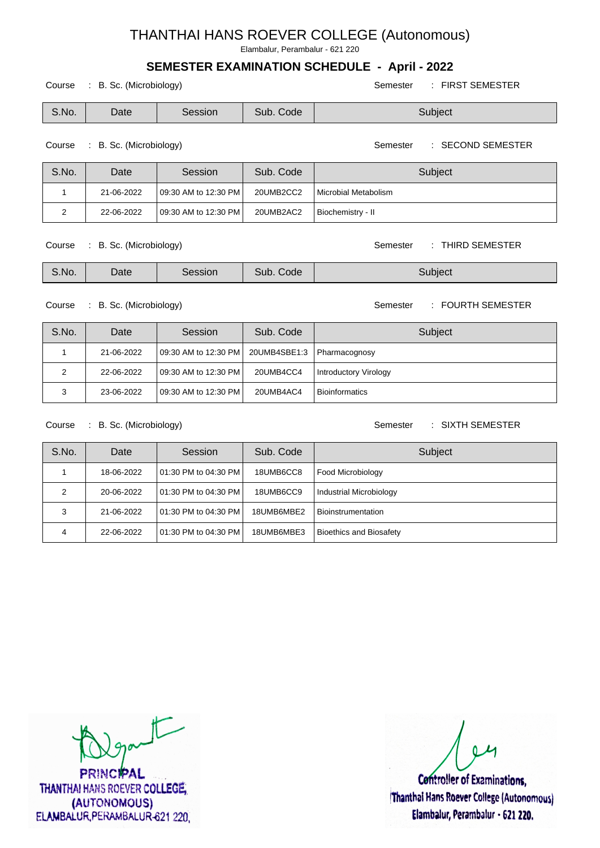Elambalur, Perambalur - 621 220

## **SEMESTER EXAMINATION SCHEDULE - April - 2022**

Course : B. Sc. (Microbiology) Semester : FIRST SEMESTER

S.No. Date Session Sub. Code Subject

#### Course : B. Sc. (Microbiology) Semester : SECOND SEMESTER

| S.No. | Date       | Session                 | Sub. Code | Subject              |
|-------|------------|-------------------------|-----------|----------------------|
|       | 21-06-2022 | 109:30 AM to 12:30 PM   | 20UMB2CC2 | Microbial Metabolism |
|       | 22-06-2022 | 109:30 AM to 12:30 PM I | 20UMB2AC2 | Biochemistry - II    |

Course : B. Sc. (Microbiology) Semester : THIRD SEMESTER

| S.No.<br>Code<br>Sub.<br>Date<br>3ubject:<br>Session |  |
|------------------------------------------------------|--|
|------------------------------------------------------|--|

Course : B. Sc. (Microbiology) Semester : FOURTH SEMESTER

| S.No. | Date       | Session               | Sub. Code                    | Subject               |
|-------|------------|-----------------------|------------------------------|-----------------------|
|       | 21-06-2022 | 09:30 AM to 12:30 PM  | 20UMB4SBE1:3   Pharmacognosy |                       |
| ◠     | 22-06-2022 | 109:30 AM to 12:30 PM | 20UMB4CC4                    | Introductory Virology |
| ີ     | 23-06-2022 | 09:30 AM to 12:30 PM  | 20UMB4AC4                    | <b>Bioinformatics</b> |

Course : B. Sc. (Microbiology) Semester : SIXTH SEMESTER

| S.No. | Date       | Session                 | Sub. Code  | Subject                        |
|-------|------------|-------------------------|------------|--------------------------------|
|       | 18-06-2022 | 101:30 PM to 04:30 PM I | 18UMB6CC8  | Food Microbiology              |
| っ     | 20-06-2022 | 101:30 PM to 04:30 PM I | 18UMB6CC9  | Industrial Microbiology        |
| 3     | 21-06-2022 | 101:30 PM to 04:30 PM I | 18UMB6MBE2 | Bioinstrumentation             |
|       | 22-06-2022 | 101:30 PM to 04:30 PM l | 18UMB6MBE3 | <b>Bioethics and Biosafety</b> |

 $\sqrt{2}$ 

**PRINCIPAL** THANTHAI HANS ROEVER COLLEGE, (AUTONOMOUS) ELAMBALUR, PERAMBALUR-621 220,

**Controller of Examinations.** 

Thanthai Hans Roever College (Autonomous) Elambalur, Perambalur - 621 220.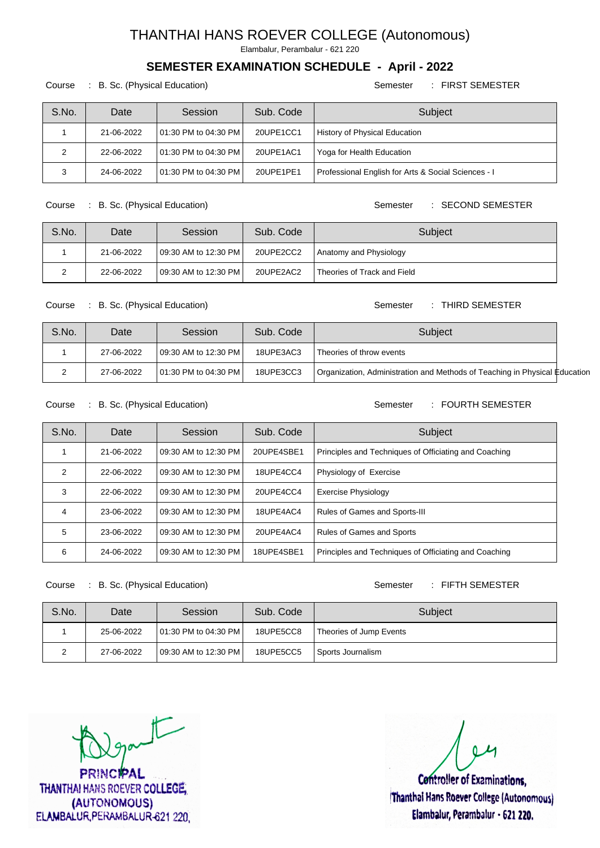Elambalur, Perambalur - 621 220

## **SEMESTER EXAMINATION SCHEDULE - April - 2022**

Course : B. Sc. (Physical Education) Semester : FIRST SEMESTER

| S.No.   | Date       | Session                  | Sub. Code | Subject                                             |
|---------|------------|--------------------------|-----------|-----------------------------------------------------|
|         | 21-06-2022 | l 01:30 PM to 04:30 PM l | 20UPE1CC1 | History of Physical Education                       |
|         | 22-06-2022 | l 01:30 PM to 04:30 PM l | 20UPE1AC1 | Yoga for Health Education                           |
| っ<br>د، | 24-06-2022 | l 01:30 PM to 04:30 PM l | 20UPE1PE1 | Professional English for Arts & Social Sciences - I |

Course : B. Sc. (Physical Education) Semester : SECOND SEMESTER

| S.No. | Date       | Session                 | Sub. Code | Subject                     |
|-------|------------|-------------------------|-----------|-----------------------------|
|       | 21-06-2022 | 109:30 AM to 12:30 PM I | 20UPE2CC2 | Anatomy and Physiology      |
|       | 22-06-2022 | 109:30 AM to 12:30 PM   | 20UPE2AC2 | Theories of Track and Field |

#### Course : B. Sc. (Physical Education) Semester : THIRD SEMESTER

| S.No. | Date       | Session                 | Sub. Code | Subject                                                                    |  |
|-------|------------|-------------------------|-----------|----------------------------------------------------------------------------|--|
|       | 27-06-2022 | 109:30 AM to 12:30 PM   | 18UPE3AC3 | Theories of throw events                                                   |  |
|       | 27-06-2022 | 101:30 PM to 04:30 PM I | 18UPE3CC3 | Organization, Administration and Methods of Teaching in Physical Education |  |

Course : B. Sc. (Physical Education) Semester : FOURTH SEMESTER

| S.No. | Date       | Session                  | Sub. Code  | Subject                                               |
|-------|------------|--------------------------|------------|-------------------------------------------------------|
|       | 21-06-2022 | 09:30 AM to 12:30 PM     | 20UPE4SBE1 | Principles and Techniques of Officiating and Coaching |
| 2     | 22-06-2022 | l 09:30 AM to 12:30 PM l | 18UPE4CC4  | Physiology of Exercise                                |
| 3     | 22-06-2022 | l 09:30 AM to 12:30 PM l | 20UPE4CC4  | <b>Exercise Physiology</b>                            |
| 4     | 23-06-2022 | l 09:30 AM to 12:30 PM l | 18UPE4AC4  | Rules of Games and Sports-III                         |
| 5     | 23-06-2022 | 09:30 AM to 12:30 PM     | 20UPE4AC4  | <b>Rules of Games and Sports</b>                      |
| 6     | 24-06-2022 | l 09:30 AM to 12:30 PM l | 18UPE4SBE1 | Principles and Techniques of Officiating and Coaching |

Course : B. Sc. (Physical Education) Semester : FIFTH SEMESTER

| S.No. | Date       | Session                  | Sub. Code | Subject                 |
|-------|------------|--------------------------|-----------|-------------------------|
|       | 25-06-2022 | 01:30 PM to 04:30 PM     | 18UPE5CC8 | Theories of Jump Events |
|       | 27-06-2022 | l 09:30 AM to 12:30 PM l | 18UPE5CC5 | Sports Journalism       |

 $\pm$ 

**PRINCIPAL** THANTHAI HANS ROEVER COLLEGE, (AUTONOMOUS) ELAMBALUR, PERAMBALUR-621 220

**Controller of Examinations,** Thanthai Hans Roever College (Autonomous) Elambalur, Perambalur - 621 220.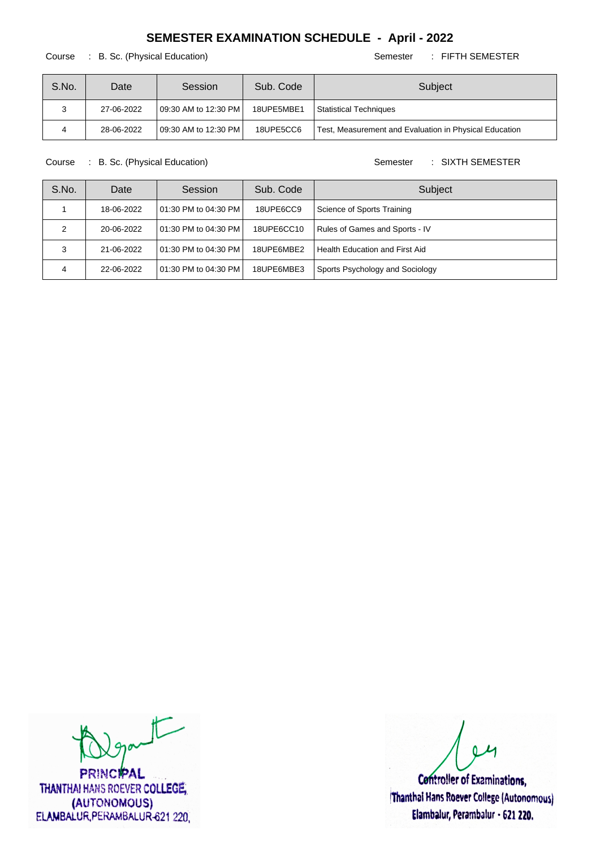#### Course : B. Sc. (Physical Education) Semester : FIFTH SEMESTER

| S.No. | Date       | Session                 | Sub. Code  | Subject                                                |
|-------|------------|-------------------------|------------|--------------------------------------------------------|
|       | 27-06-2022 | 109:30 AM to 12:30 PM I | 18UPE5MBE1 | Statistical Techniques                                 |
|       | 28-06-2022 | 109:30 AM to 12:30 PM I | 18UPE5CC6  | Test, Measurement and Evaluation in Physical Education |

Course : B. Sc. (Physical Education) Semester : SIXTH SEMESTER

| S.No. | Date       | Session                | Sub. Code  | Subject                               |
|-------|------------|------------------------|------------|---------------------------------------|
|       | 18-06-2022 | 101:30 PM to 04:30 PM  | 18UPE6CC9  | Science of Sports Training            |
|       | 20-06-2022 | l 01:30 PM to 04:30 PM | 18UPE6CC10 | <b>Rules of Games and Sports - IV</b> |
|       | 21-06-2022 | 01:30 PM to 04:30 PM   | 18UPE6MBE2 | Health Education and First Aid        |
| 4     | 22-06-2022 | 01:30 PM to 04:30 PM   | 18UPE6MBE3 | Sports Psychology and Sociology       |

 $\sqrt{2}$ 

**PRINCIPAL** THANTHAI HANS ROEVER COLLEGE, (AUTONOMOUS) ELAMBALUR, PERAMBALUR-621 220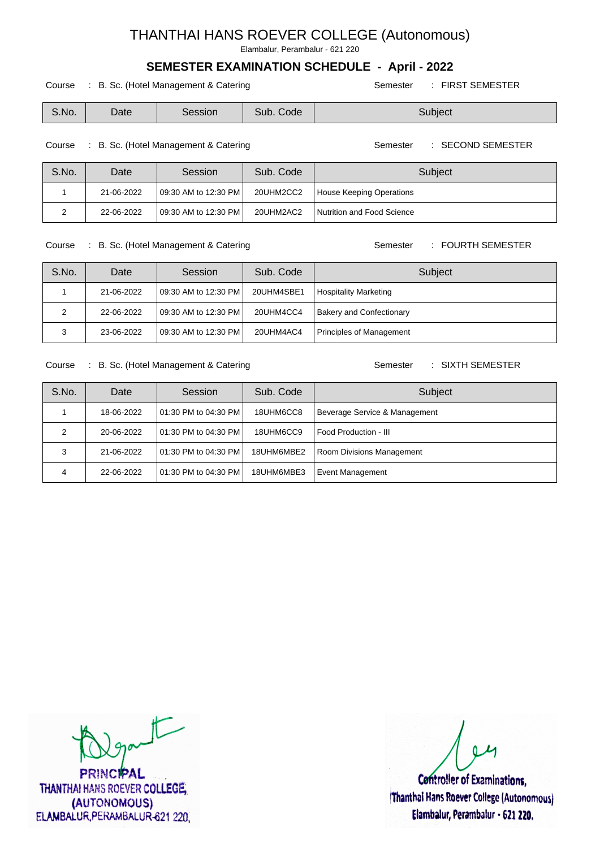Elambalur, Perambalur - 621 220

### **SEMESTER EXAMINATION SCHEDULE - April - 2022**

Course : B. Sc. (Hotel Management & Catering Semester : FIRST SEMESTER

| S.No. | Date | Session | Sub.<br>Code | , Subject |
|-------|------|---------|--------------|-----------|
|-------|------|---------|--------------|-----------|

Course : B. Sc. (Hotel Management & Catering Semester : SECOND SEMESTER

| S.No. | Date       | Session                 | Sub. Code | Subject                    |
|-------|------------|-------------------------|-----------|----------------------------|
|       | 21-06-2022 | 109:30 AM to 12:30 PM I | 20UHM2CC2 | House Keeping Operations   |
|       | 22-06-2022 | 109:30 AM to 12:30 PM I | 20UHM2AC2 | Nutrition and Food Science |

Course : B. Sc. (Hotel Management & Catering Semester : FOURTH SEMESTER

| S.No. | Date       | Session               | Sub. Code  | Subject                         |
|-------|------------|-----------------------|------------|---------------------------------|
|       | 21-06-2022 | 109:30 AM to 12:30 PM | 20UHM4SBE1 | Hospitality Marketing           |
|       | 22-06-2022 | 109:30 AM to 12:30 PM | 20UHM4CC4  | <b>Bakery and Confectionary</b> |
|       | 23-06-2022 | 109:30 AM to 12:30 PM | 20UHM4AC4  | Principles of Management        |

Course : B. Sc. (Hotel Management & Catering Semester : SIXTH SEMESTER

| S.No. | Date       | Session                  | Sub. Code  | Subject                          |
|-------|------------|--------------------------|------------|----------------------------------|
|       | 18-06-2022 | l 01:30 PM to 04:30 PM l | 18UHM6CC8  | Beverage Service & Management    |
|       | 20-06-2022 | 01:30 PM to 04:30 PM I   | 18UHM6CC9  | Food Production - III            |
|       | 21-06-2022 | l 01:30 PM to 04:30 PM l | 18UHM6MBE2 | <b>Room Divisions Management</b> |
| 4     | 22-06-2022 | l 01:30 PM to 04:30 PM l | 18UHM6MBE3 | <b>Event Management</b>          |

part

**PRINCIPAL** THANTHAI HANS ROEVER COLLEGE, (AUTONOMOUS) ELAMBALUR, PERAMBALUR-621 220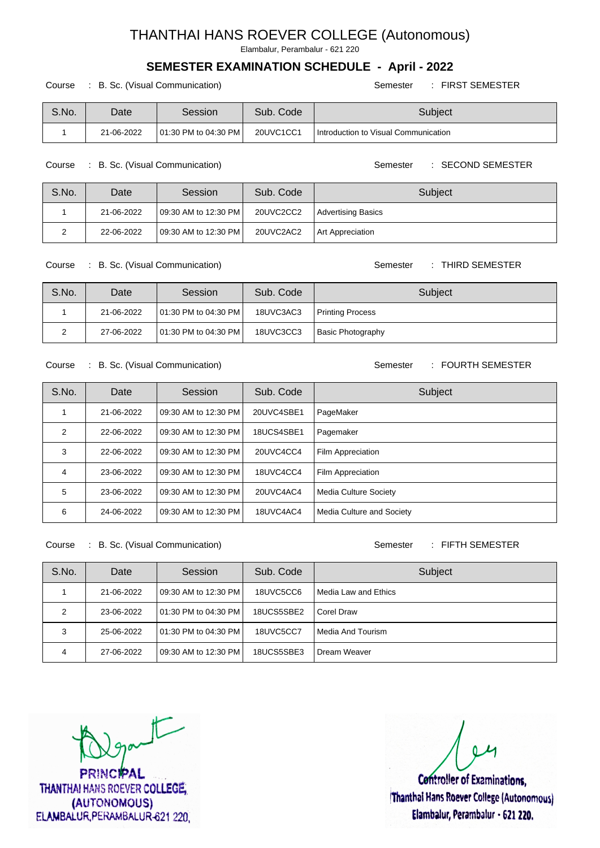Elambalur, Perambalur - 621 220

## **SEMESTER EXAMINATION SCHEDULE - April - 2022**

Course : B. Sc. (Visual Communication) Course : FIRST SEMESTER

| S.No. | Date       | Session                 | Sub. Code | Subject                                |
|-------|------------|-------------------------|-----------|----------------------------------------|
|       | 21-06-2022 | 101:30 PM to 04:30 PM I | 20UVC1CC1 | I Introduction to Visual Communication |

Course : B. Sc. (Visual Communication) Semester : SECOND SEMESTER

| S.No. | Date       | Session                 | Sub. Code | Subject                   |
|-------|------------|-------------------------|-----------|---------------------------|
|       | 21-06-2022 | 09:30 AM to 12:30 PM    | 20UVC2CC2 | <b>Advertising Basics</b> |
|       | 22-06-2022 | 109:30 AM to 12:30 PM I | 20UVC2AC2 | <b>Art Appreciation</b>   |

Course : B. Sc. (Visual Communication) Semester : THIRD SEMESTER

| S.No. | Date       | Session                  | Sub. Code | Subject                  |
|-------|------------|--------------------------|-----------|--------------------------|
|       | 21-06-2022 | 101:30 PM to 04:30 PM I  | 18UVC3AC3 | <b>Printing Process</b>  |
| _     | 27-06-2022 | l 01:30 PM to 04:30 PM l | 18UVC3CC3 | <b>Basic Photography</b> |

#### Course : B. Sc. (Visual Communication) Semester : FOURTH SEMESTER

S.No. Date Session Sub. Code Subject 1 | 21-06-2022 | 09:30 AM to 12:30 PM | 20UVC4SBE1 | PageMaker 2 | 22-06-2022 | 09:30 AM to 12:30 PM | 18UCS4SBE1 Pagemaker 3 | 22-06-2022 | 09:30 AM to 12:30 PM | 20UVC4CC4 | Film Appreciation 4 23-06-2022 09:30 AM to 12:30 PM 18UVC4CC4 Film Appreciation 5 23-06-2022 09:30 AM to 12:30 PM 20UVC4AC4 Media Culture Society 6 24-06-2022 09:30 AM to 12:30 PM 18UVC4AC4 Media Culture and Society

Course : B. Sc. (Visual Communication) Semester : FIFTH SEMESTER

| S.No. | Date       | Session                 | Sub. Code  | Subject              |
|-------|------------|-------------------------|------------|----------------------|
|       | 21-06-2022 | 109:30 AM to 12:30 PM I | 18UVC5CC6  | Media Law and Ethics |
| 2     | 23-06-2022 | 101:30 PM to 04:30 PM I | 18UCS5SBE2 | Corel Draw           |
| 3     | 25-06-2022 | 101:30 PM to 04:30 PM I | 18UVC5CC7  | l Media And Tourism  |
| 4     | 27-06-2022 | 109:30 AM to 12:30 PM I | 18UCS5SBE3 | Dream Weaver         |

part

RINCIPAL **THANTHAI HANS ROEVER COLLEGE.** (AUTONOMOUS) ELAMBALUR PERAMBALUR-621 220.

**Controller of Examinations.** Thanthal Hans Roever College (Autonomous) Elambalur, Perambalur - 621 220.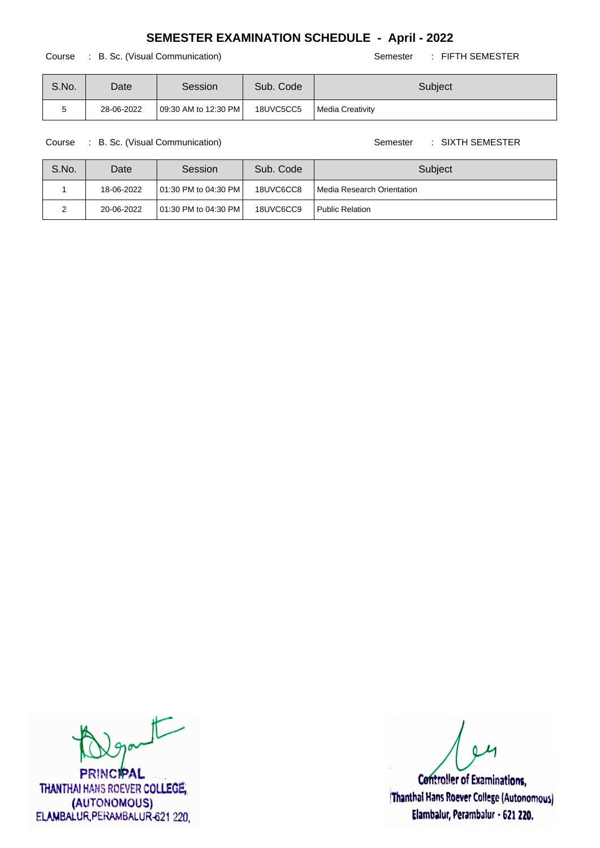#### Course : B. Sc. (Visual Communication) Semester : FIFTH SEMESTER

| S.No. | Date       | Session              | Sub. Code | Subject          |
|-------|------------|----------------------|-----------|------------------|
|       | 28-06-2022 | 09:30 AM to 12:30 PM | 18UVC5CC5 | Media Creativity |

Course : B. Sc. (Visual Communication) Semester : SIXTH SEMESTER

| S.No. | Date       | Session                 | Sub. Code | Subject                      |
|-------|------------|-------------------------|-----------|------------------------------|
|       | 18-06-2022 | 101:30 PM to 04:30 PM I | 18UVC6CC8 | l Media Research Orientation |
|       | 20-06-2022 | 101:30 PM to 04:30 PM I | 18UVC6CC9 | Public Relation              |

 $t$ 

**PRINCIPAL** THANTHAI HANS ROEVER COLLEGE, (AUTONOMOUS) ELAMBALUR, PERAMBALUR-621 220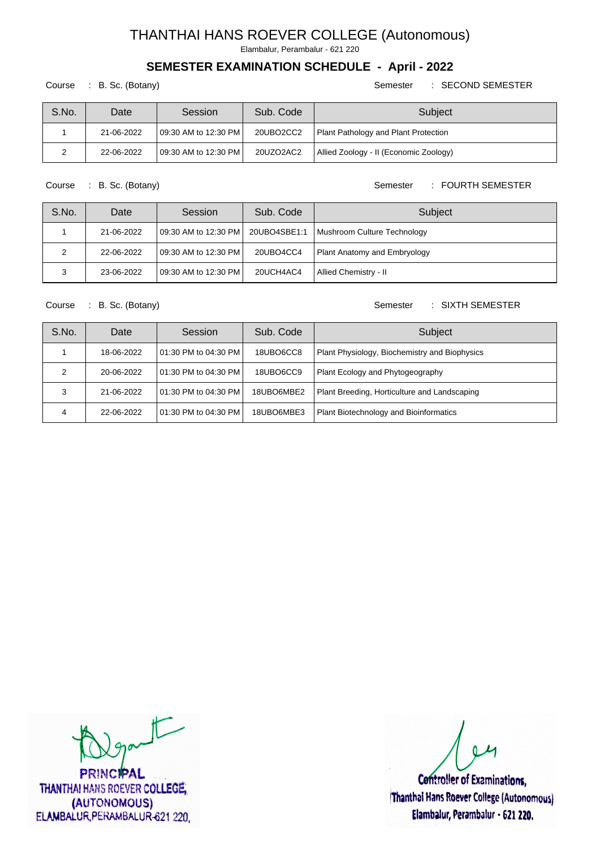Elambalur, Perambalur - 621 220

## **SEMESTER EXAMINATION SCHEDULE - April - 2022**

#### Course : B. Sc. (Botany) Semester : SECOND SEMESTER

| S.No. | Date       | Session                 | Sub. Code | Subject                                |
|-------|------------|-------------------------|-----------|----------------------------------------|
|       | 21-06-2022 | 109:30 AM to 12:30 PM I | 20UBO2CC2 | Plant Pathology and Plant Protection   |
|       | 22-06-2022 | 109:30 AM to 12:30 PM I | 20UZO2AC2 | Allied Zoology - II (Economic Zoology) |

Course : B. Sc. (Botany) Semester : FOURTH SEMESTER

| S.No. | Date       | Session                  | Sub. Code    | Subject                      |
|-------|------------|--------------------------|--------------|------------------------------|
|       | 21-06-2022 | 09:30 AM to 12:30 PM     | 20UBO4SBE1:1 | Mushroom Culture Technology  |
|       | 22-06-2022 | 09:30 AM to 12:30 PM     | 20UBO4CC4    | Plant Anatomy and Embryology |
|       | 23-06-2022 | l 09:30 AM to 12:30 PM l | 20UCH4AC4    | Allied Chemistry - II        |

#### Course : B. Sc. (Botany) Semester : SIXTH SEMESTER

| S.No. | Date       | Session               | Sub. Code  | Subject                                       |
|-------|------------|-----------------------|------------|-----------------------------------------------|
|       | 18-06-2022 | 101:30 PM to 04:30 PM | 18UBO6CC8  | Plant Physiology, Biochemistry and Biophysics |
|       | 20-06-2022 | 101:30 PM to 04:30 PM | 18UBO6CC9  | Plant Ecology and Phytogeography              |
| 3     | 21-06-2022 | 101:30 PM to 04:30 PM | 18UBO6MBE2 | Plant Breeding, Horticulture and Landscaping  |
| 4     | 22-06-2022 | 101:30 PM to 04:30 PM | 18UBO6MBE3 | Plant Biotechnology and Bioinformatics        |

 $\sqrt{2}$ 

**PRINCIPAL** THANTHAI HANS ROEVER COLLEGE, (AUTONOMOUS) ELAMBALUR, PERAMBALUR-621 220